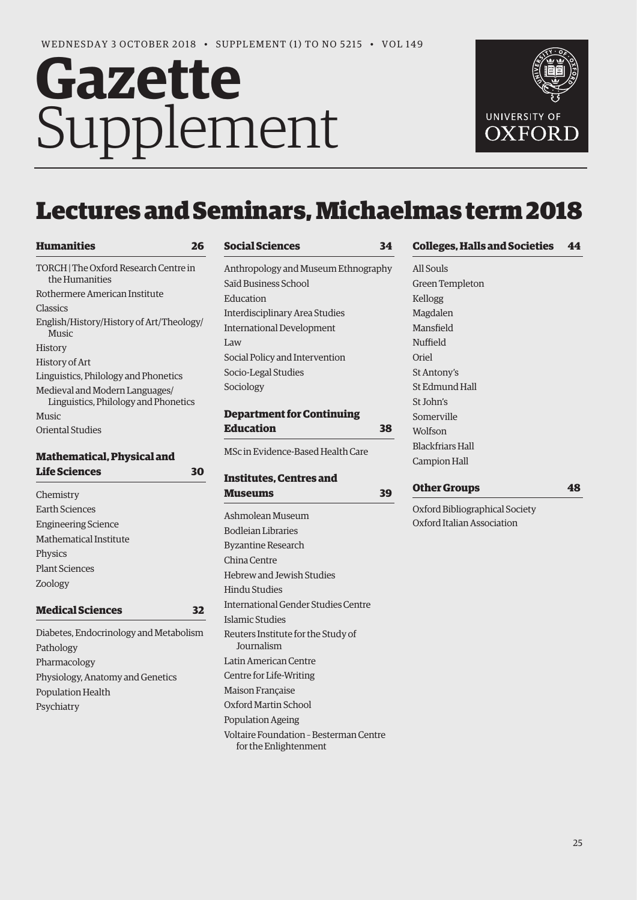# Gazette Supplement



# Lectures and Seminars, Michaelmas term 2018

| TORCH   The Oxford Research Centre in<br>the Humanities                |  |
|------------------------------------------------------------------------|--|
| Rothermere American Institute                                          |  |
| Classics                                                               |  |
| English/History/History of Art/Theology/<br><b>Music</b>               |  |
| History                                                                |  |
| History of Art                                                         |  |
| Linguistics, Philology and Phonetics                                   |  |
| Medieval and Modern Languages/<br>Linguistics, Philology and Phonetics |  |
| <b>Music</b>                                                           |  |
| <b>Oriental Studies</b>                                                |  |

# **Mathematical, Physical and Life Sciences 30**

| Chemistry                  |
|----------------------------|
| Earth Sciences             |
| <b>Engineering Science</b> |
| Mathematical Institute     |
| Physics                    |
| <b>Plant Sciences</b>      |
| Zoology                    |
|                            |

```
Medical Sciences 32
```
Diabetes, Endocrinology and Metabolism Pathology Pharmacology Physiology, Anatomy and Genetics Population Health Psychiatry

| <b>Social Sciences</b> | 34 |
|------------------------|----|
|------------------------|----|

Anthropology and Museum Ethnography Saïd Business School Education Interdisciplinary Area Studies International Development Law Social Policy and Intervention Socio-Legal Studies Sociology

# **Department for Continuing Education 38**

MSc in Evidence-Based Health Care

# **Institutes, Centres and Museums 39** Ashmolean Museum Bodleian Libraries Byzantine Research China Centre Hebrew and Jewish Studies Hindu Studies International Gender Studies Centre Islamic Studies Reuters Institute for the Study of Journalism Latin American Centre Centre for Life-Writing Maison Française Oxford Martin School Population Ageing Voltaire Foundation – Besterman Centre for the Enlightenment

# **Colleges, Halls and Societies 44**

All Souls Green Templeton Kellogg Magdalen Mansfield Nuffield Oriel St Antony's St Edmund Hall St John's Somerville Wolfson Blackfriars Hall Campion Hall

**Other Groups 48**

Oxford Bibliographical Society Oxford Italian Association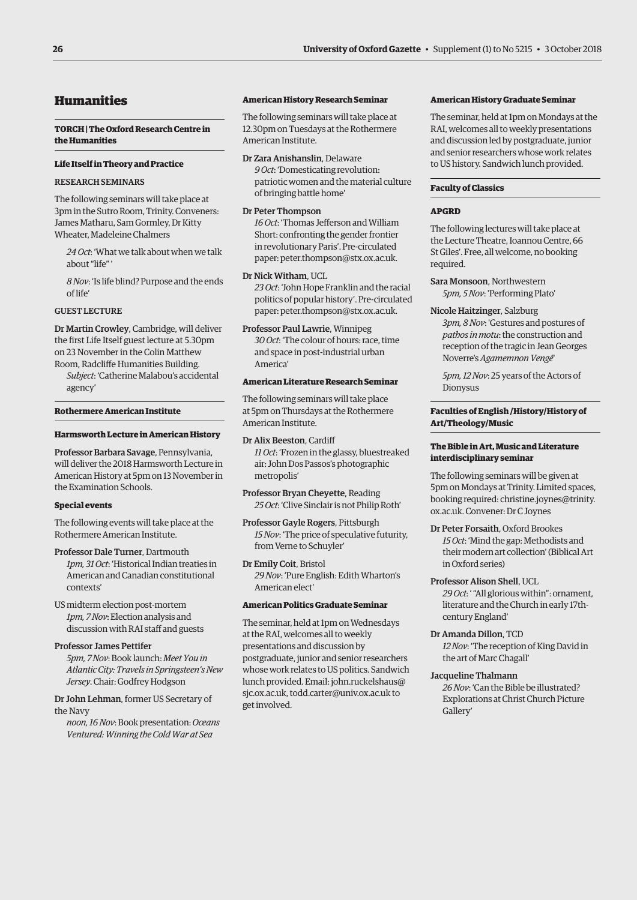### **26 University of Oxford Gazette** • Supplement (1) to No 5215 • 3 October 2018

# Humanities

### **TORCH | The Oxford Research Centre in the Humanities**

### **Life Itself in Theory and Practice**

### RESEARCH SEMINARS

The following seminars will take place at 3pm in the Sutro Room, Trinity. Conveners: James Matharu, Sam Gormley, Dr Kitty Wheater, Madeleine Chalmers

*24 Oct*: 'What we talk about when we talk about "life"

*8 Nov*: 'Is life blind? Purpose and the ends of life'

### GUEST LECTURE

Dr Martin Crowley, Cambridge, will deliver the first Life Itself guest lecture at 5.30pm on 23 November in the Colin Matthew Room, Radcliffe Humanities Building.

*Subject*: 'Catherine Malabou's accidental agency'

### **Rothermere American Institute**

### **Harmsworth Lecture in American History**

Professor Barbara Savage, Pennsylvania, will deliver the 2018 Harmsworth Lecture in American History at 5pm on 13 November in the Examination Schools.

### **Special events**

The following events will take place at the Rothermere American Institute.

Professor Dale Turner, Dartmouth *1pm, 31 Oct*: 'Historical Indian treaties in American and Canadian constitutional contexts'

US midterm election post-mortem *1pm, 7 Nov*: Election analysis and discussion with RAI staff and guests

### Professor James Pettifer

*5pm, 7 Nov*: Book launch: *Meet You in Atlantic City: Travels in Springsteen's New Jersey*. Chair: Godfrey Hodgson

Dr John Lehman, former US Secretary of the Navy

*noon, 16 Nov*: Book presentation: *Oceans Ventured: Winning the Cold War at Sea*

### **American History Research Seminar**

The following seminars will take place at 12.30pm on Tuesdays at the Rothermere American Institute.

Dr Zara Anishanslin, Delaware *9 Oct*: 'Domesticating revolution: patriotic women and the material culture of bringing battle home'

### Dr Peter Thompson

*16 Oct*: 'Thomas Jefferson and William Short: confronting the gender frontier in revolutionary Paris'. Pre-circulated paper: [peter.thompson@stx.ox.ac.uk.](mailto:peter.thompson@stx.ox.ac.uk)

### Dr Nick Witham, UCL

*23 Oct*: 'John Hope Franklin and the racial politics of popular history'. Pre-circulated paper: [peter.thompson@stx.ox.ac.uk.](mailto:peter.thompson@stx.ox.ac.uk)

### Professor Paul Lawrie, Winnipeg

*30 Oct*: 'The colour of hours: race, time and space in post-industrial urban America'

### **American Literature Research Seminar**

The following seminars will take place at 5pm on Thursdays at the Rothermere American Institute.

### Dr Alix Beeston, Cardiff

*11 Oct*: 'Frozen in the glassy, bluestreaked air: John Dos Passos's photographic metropolis'

Professor Bryan Cheyette, Reading *25 Oct*: 'Clive Sinclair is not Philip Roth'

Professor Gayle Rogers, Pittsburgh *15 Nov*: 'The price of speculative futurity, from Verne to Schuyler'

Dr Emily Coit, Bristol *29 Nov*: 'Pure English: Edith Wharton's American elect'

### **American Politics Graduate Seminar**

The seminar, held at 1pm on Wednesdays at the RAI, welcomes all to weekly presentations and discussion by postgraduate, junior and senior researchers whose work relates to US politics. Sandwich lunch provide[d. Email: john.ruckelshaus@](mailto:john.ruckelshaus@sjc.ox.ac.uk) sjc.ox.ac.uk, [todd.carter@univ.ox.ac.uk to](mailto:todd.carter@univ.ox.ac.uk)  get involved.

### **American History Graduate Seminar**

The seminar, held at 1pm on Mondays at the RAI, welcomes all to weekly presentations and discussion led by postgraduate, junior and senior researchers whose work relates to US history. Sandwich lunch provided.

### **Faculty of Classics**

### **APGRD**

The following lectures will take place at the Lecture Theatre, Ioannou Centre, 66 St Giles'. Free, all welcome, no booking required.

Sara Monsoon, Northwestern *5pm, 5 Nov*: 'Performing Plato'

### Nicole Haitzinger, Salzburg

*3pm, 8 Nov*: 'Gestures and postures of *pathos in motu*: the construction and reception of the tragic in Jean Georges Noverre's *Agamemnon Vengé*'

*5pm, 12 Nov*: 25 years of the Actors of Dionysus

### **Faculties of English /History/History of Art/Theology/Music**

### **The Bible in Art, Music and Literature interdisciplinary seminar**

The following seminars will be given at 5pm on Mondays at Trinity. Limited spaces, booking required: christine.joynes@trinity. ox.ac.uk. Convener: Dr C Joynes

Dr Peter Forsaith, Oxford Brookes *15 Oct*: 'Mind the gap: Methodists and their modern art collection' (Biblical Art in Oxford series)

### Professor Alison Shell, UCL *29 Oct*: ' "All glorious within": ornament, literature and the Church in early 17thcentury England'

### Dr Amanda Dillon, TCD *12 Nov*: 'The reception of King David in the art of Marc Chagall'

### Jacqueline Thalmann

*26 Nov*: 'Can the Bible be illustrated? Explorations at Christ Church Picture Gallery'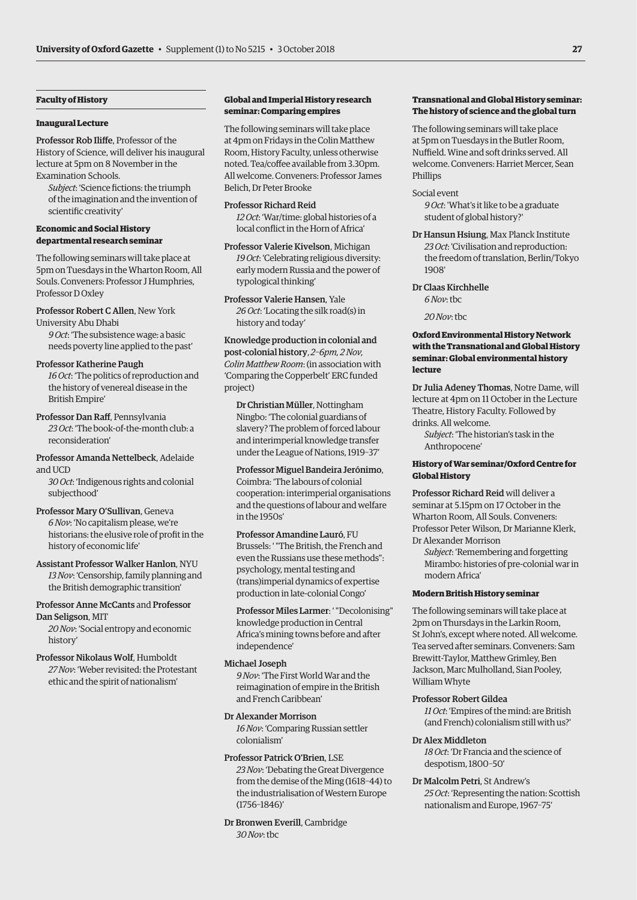### **Faculty of History**

### **Inaugural Lecture**

Professor Rob Iliffe, Professor of the History of Science, will deliver his inaugural lecture at 5pm on 8 November in the Examination Schools.

*Subject*: 'Science fictions: the triumph of the imagination and the invention of scientific creativity'

### **Economic and Social History departmental research seminar**

The following seminars will take place at 5pm on Tuesdays in the Wharton Room, All Souls. Conveners: Professor J Humphries, Professor D Oxley

Professor Robert C Allen, New York University Abu Dhabi

*9 Oct*: 'The subsistence wage: a basic needs poverty line applied to the past'

### Professor Katherine Paugh

*16 Oct*: 'The politics of reproduction and the history of venereal disease in the British Empire'

### Professor Dan Raff, Pennsylvania

*23 Oct*: 'The book-of-the-month club: a reconsideration'

### Professor Amanda Nettelbeck, Adelaide and UCD

*30 Oct*: 'Indigenous rights and colonial subjecthood'

### Professor Mary O'Sullivan, Geneva

*6 Nov*: 'No capitalism please, we're historians: the elusive role of profit in the history of economic life'

Assistant Professor Walker Hanlon, NYU *13 Nov*: 'Censorship, family planning and the British demographic transition'

### Professor Anne McCants and Professor Dan Seligson, MIT

*20 Nov*: 'Social entropy and economic history'

Professor Nikolaus Wolf, Humboldt *27 Nov*: 'Weber revisited: the Protestant ethic and the spirit of nationalism'

### **Global and Imperial History research seminar: Comparing empires**

The following seminars will take place at 4pm on Fridays in the Colin Matthew Room, History Faculty, unless otherwise noted. Tea/coffee available from 3.30pm. All welcome. Conveners: Professor James Belich, Dr Peter Brooke

Professor Richard Reid *12 Oct*: 'War/time: global histories of a local conflict in the Horn of Africa'

Professor Valerie Kivelson, Michigan *19 Oct*: 'Celebrating religious diversity: early modern Russia and the power of typological thinking'

Professor Valerie Hansen, Yale *26 Oct*: 'Locating the silk road(s) in history and today'

Knowledge production in colonial and post-colonial history, *2–6pm, 2 Nov, Colin Matthew Room*: (in association with 'Comparing the Copperbelt' ERC funded project)

Dr Christian Müller, Nottingham Ningbo: 'The colonial guardians of slavery? The problem of forced labour and interimperial knowledge transfer under the League of Nations, 1919–37'

Professor Miguel Bandeira Jerónimo, Coimbra: 'The labours of colonial cooperation: interimperial organisations and the questions of labour and welfare in the 1950s'

Professor Amandine Lauró, FU Brussels: ' "The British, the French and even the Russians use these methods": psychology, mental testing and (trans)imperial dynamics of expertise production in late-colonial Congo'

Professor Miles Larmer: ' "Decolonising" knowledge production in Central Africa's mining towns before and after independence'

### Michael Joseph

*9 Nov*: 'The First World War and the reimagination of empire in the British and French Caribbean'

### Dr Alexander Morrison

*16 Nov*: 'Comparing Russian settler colonialism'

### Professor Patrick O'Brien, LSE

*23 Nov*: 'Debating the Great Divergence from the demise of the Ming (1618–44) to the industrialisation of Western Europe (1756–1846)'

Dr Bronwen Everill, Cambridge *30 Nov*: tbc

### **Transnational and Global History seminar: The history of science and the global turn**

The following seminars will take place at 5pm on Tuesdays in the Butler Room, Nuffield. Wine and soft drinks served. All welcome. Conveners: Harriet Mercer, Sean Phillips

### Social event

*9 Oct*: 'What's it like to be a graduate student of global history?'

Dr Hansun Hsiung, Max Planck Institute *23 Oct*: 'Civilisation and reproduction: the freedom of translation, Berlin/Tokyo 1908'

### Dr Claas Kirchhelle

*6 Nov*: tbc

*20 Nov*: tbc

### **Oxford Environmental History Network with the Transnational and Global History seminar: Global environmental history lecture**

Dr Julia Adeney Thomas, Notre Dame, will lecture at 4pm on 11 October in the Lecture Theatre, History Faculty. Followed by drinks. All welcome.

*Subject*: 'The historian's task in the Anthropocene'

### **History of War seminar/Oxford Centre for Global History**

Professor Richard Reid will deliver a seminar at 5.15pm on 17 October in the Wharton Room, All Souls. Conveners: Professor Peter Wilson, Dr Marianne Klerk, Dr Alexander Morrison

*Subject*: 'Remembering and forgetting Mirambo: histories of pre-colonial war in modern Africa'

### **Modern British History seminar**

The following seminars will take place at 2pm on Thursdays in the Larkin Room, St John's, except where noted. All welcome. Tea served after seminars. Conveners: Sam Brewitt-Taylor, Matthew Grimley, Ben Jackson, Marc Mulholland, Sian Pooley, William Whyte

### Professor Robert Gildea

*11 Oct*: 'Empires of the mind: are British (and French) colonialism still with us?'

### Dr Alex Middleton

*18 Oct*: 'Dr Francia and the science of despotism, 1800–50'

Dr Malcolm Petri, St Andrew's *25 Oct*: 'Representing the nation: Scottish nationalism and Europe, 1967–75'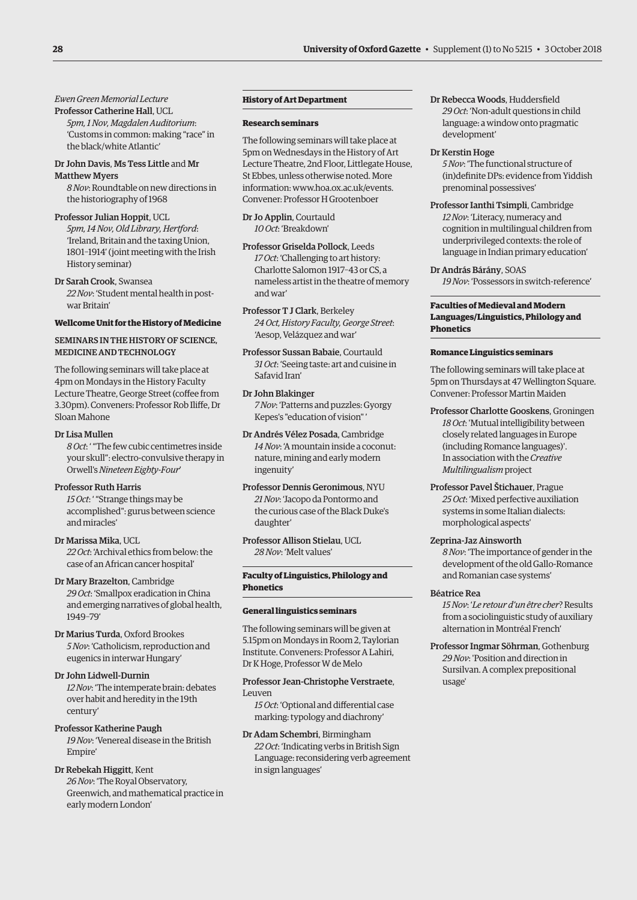*Ewen Green Memorial Lecture*

Professor Catherine Hall, UCL *5pm, 1 Nov, Magdalen Auditorium*: 'Customs in common: making "race" in the black/white Atlantic'

### Dr John Davis, Ms Tess Little and Mr Matthew Myers

*8 Nov*: Roundtable on new directions in the historiography of 1968

Professor Julian Hoppit, UCL *5pm, 14 Nov, Old Library, Hertford*: 'Ireland, Britain and the taxing Union, 1801–1914' (joint meeting with the Irish History seminar)

Dr Sarah Crook, Swansea *22 Nov*: 'Student mental health in postwar Britain'

### **Wellcome Unit for the History of Medicine**

### SEMINARS IN THE HISTORY OF SCIENCE, MEDICINE AND TECHNOLOGY

The following seminars will take place at 4pm on Mondays in the History Faculty Lecture Theatre, George Street (coffee from 3.30pm). Conveners: Professor Rob Iliffe, Dr Sloan Mahone

### Dr Lisa Mullen

*8 Oct*: ' "The few cubic centimetres inside your skull": electro-convulsive therapy in Orwell's *Nineteen Eighty-Four*'

### Professor Ruth Harris

*15 Oct*: ' "Strange things may be accomplished": gurus between science and miracles'

Dr Marissa Mika, UCL *22 Oct*: 'Archival ethics from below: the case of an African cancer hospital'

Dr Mary Brazelton, Cambridge *29 Oct*: 'Smallpox eradication in China and emerging narratives of global health, 1949–79'

Dr Marius Turda, Oxford Brookes *5 Nov*: 'Catholicism, reproduction and eugenics in interwar Hungary'

### Dr John Lidwell-Durnin

*12 Nov*: 'The intemperate brain: debates over habit and heredity in the 19th century'

Professor Katherine Paugh *19 Nov*: 'Venereal disease in the British Empire'

### Dr Rebekah Higgitt, Kent

*26 Nov*: 'The Royal Observatory, Greenwich, and mathematical practice in early modern London'

### **History of Art Department**

### **Research seminars**

The following seminars will take place at 5pm on Wednesdays in the History of Art Lecture Theatre, 2nd Floor, Littlegate House, St Ebbes, unless otherwise noted. More information: [www.hoa.ox.ac.uk/events.](http://www.hoa.ox.ac.uk/events)  Convener: Professor H Grootenboer

Dr Jo Applin, Courtauld *10 Oct*: 'Breakdown'

Professor Griselda Pollock, Leeds *17 Oct*: 'Challenging to art history: Charlotte Salomon 1917–43 or CS, a nameless artist in the theatre of memory and war'

Professor T J Clark, Berkeley *24 Oct, History Faculty, George Street*: 'Aesop, Velázquez and war'

Professor Sussan Babaie, Courtauld *31 Oct*: 'Seeing taste: art and cuisine in Safavid Iran'

Dr John Blakinger *7 Nov*: 'Patterns and puzzles: Gyorgy Kepes's "education of vision" '

Dr Andrés Vélez Posada, Cambridge *14 Nov*: 'A mountain inside a coconut: nature, mining and early modern ingenuity'

Professor Dennis Geronimous, NYU *21 Nov*: 'Jacopo da Pontormo and the curious case of the Black Duke's daughter'

Professor Allison Stielau, UCL *28 Nov*: 'Melt values'

### **Faculty of Linguistics, Philology and Phonetics**

### **General linguistics seminars**

The following seminars will be given at 5.15pm on Mondays in Room 2, Taylorian Institute. Conveners: Professor A Lahiri, Dr K Hoge, Professor W de Melo

### Professor Jean-Christophe Verstraete, Leuven

*15 Oct*: 'Optional and differential case marking: typology and diachrony'

Dr Adam Schembri, Birmingham *22 Oct*: 'Indicating verbs in British Sign Language: reconsidering verb agreement in sign languages'

Dr Rebecca Woods, Huddersfield *29 Oct*: 'Non-adult questions in child language: a window onto pragmatic development'

### Dr Kerstin Hoge

*5 Nov*: 'The functional structure of (in)definite DPs: evidence from Yiddish prenominal possessives'

Professor Ianthi Tsimpli, Cambridge *12 Nov*: 'Literacy, numeracy and cognition in multilingual children from underprivileged contexts: the role of language in Indian primary education'

Dr András Bárány, SOAS *19 Nov*: 'Possessors in switch-reference'

### **Faculties of Medieval and Modern Languages/Linguistics, Philology and Phonetics**

### **Romance Linguistics seminars**

The following seminars will take place at 5pm on Thursdays at 47 Wellington Square. Convener: Professor Martin Maiden

- Professor Charlotte Gooskens, Groningen *18 Oct*: 'Mutual intelligibility between closely related languages in Europe (including Romance languages)'. In association with the *Creative Multilingualism* project
- Professor Pavel Štichauer, Prague *25 Oct*: 'Mixed perfective auxiliation systems in some Italian dialects: morphological aspects'

### Zeprina-Jaz Ainsworth

*8 Nov*: 'The importance of gender in the development of the old Gallo-Romance and Romanian case systems'

### Béatrice Rea

*15 Nov*: '*Le retour d'un être cher*? Results from a sociolinguistic study of auxiliary alternation in Montréal French'

Professor Ingmar Söhrman, Gothenburg *29 Nov*: 'Position and direction in Sursilvan. A complex prepositional usage'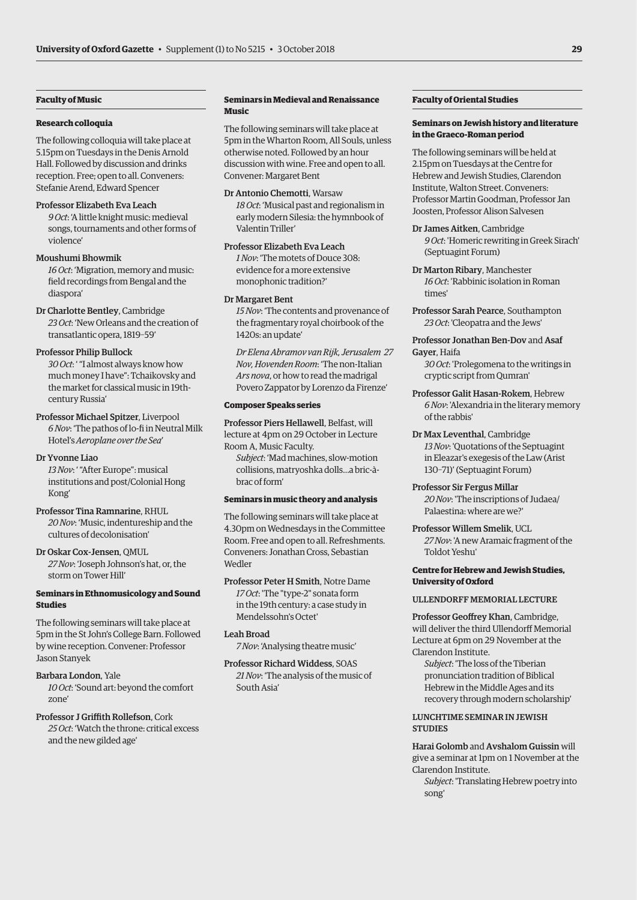### **Faculty of Music**

### **Research colloquia**

The following colloquia will take place at 5.15pm on Tuesdays in the Denis Arnold Hall. Followed by discussion and drinks reception. Free; open to all. Conveners: Stefanie Arend, Edward Spencer

### Professor Elizabeth Eva Leach

*9 Oct*: 'A little knight music: medieval songs, tournaments and other forms of violence'

### Moushumi Bhowmik

*16 Oct*: 'Migration, memory and music: field recordings from Bengal and the diaspora'

Dr Charlotte Bentley, Cambridge *23 Oct*: 'New Orleans and the creation of transatlantic opera, 1819–59'

### Professor Philip Bullock

*30 Oct*: ' "I almost always know how much money I have": Tchaikovsky and the market for classical music in 19thcentury Russia'

### Professor Michael Spitzer, Liverpool

*6 Nov*: 'The pathos of lo-fi in Neutral Milk Hotel's *Aeroplane over the Sea*'

### Dr Yvonne Liao

*13 Nov*: ' "After Europe": musical institutions and post/Colonial Hong Kong'

### Professor Tina Ramnarine, RHUL

*20 Nov*: 'Music, indentureship and the cultures of decolonisation'

### Dr Oskar Cox-Jensen, QMUL

*27 Nov*: 'Joseph Johnson's hat, or, the storm on Tower Hill'

### **Seminars in Ethnomusicology and Sound Studies**

The following seminars will take place at 5pm in the St John's College Barn. Followed by wine reception. Convener: Professor Jason Stanyek

### Barbara London, Yale

*10 Oct*: 'Sound art: beyond the comfort zone'

# Professor J Griffith Rollefson, Cork *25 Oct*: 'Watch the throne: critical excess

and the new gilded age'

### **Seminars in Medieval and Renaissance Music**

The following seminars will take place at 5pm in the Wharton Room, All Souls, unless otherwise noted. Followed by an hour discussion with wine. Free and open to all. Convener: Margaret Bent

Dr Antonio Chemotti, Warsaw *18 Oct*: 'Musical past and regionalism in early modern Silesia: the hymnbook of Valentin Triller'

Professor Elizabeth Eva Leach *1 Nov*: 'The motets of Douce 308: evidence for a more extensive monophonic tradition?'

### Dr Margaret Bent

*15 Nov*: 'The contents and provenance of the fragmentary royal choirbook of the 1420s: an update'

*Dr Elena Abramov van Rijk, Jerusalem 27 Nov, Hovenden Room*: 'The non-Italian *Ars nova*, or how to read the madrigal Povero Zappator by Lorenzo da Firenze'

### **Composer Speaks series**

Professor Piers Hellawell, Belfast, will lecture at 4pm on 29 October in Lecture Room A, Music Faculty.

*Subject*: 'Mad machines, slow-motion collisions, matryoshka dolls…a bric-àbrac of form'

### **Seminars in music theory and analysis**

The following seminars will take place at 4.30pm on Wednesdays in the Committee Room. Free and open to all. Refreshments. Conveners: Jonathan Cross, Sebastian **Wedler** 

Professor Peter H Smith, Notre Dame *17 Oct*: 'The "type-2" sonata form in the 19th century: a case study in Mendelssohn's Octet'

### Leah Broad

*7 Nov*: 'Analysing theatre music'

Professor Richard Widdess, SOAS *21 Nov*: 'The analysis of the music of South Asia'

### **Faculty of Oriental Studies**

### **Seminars on Jewish history and literature in the Graeco-Roman period**

The following seminars will be held at 2.15pm on Tuesdays at the Centre for Hebrew and Jewish Studies, Clarendon Institute, Walton Street. Conveners: Professor Martin Goodman, Professor Jan Joosten, Professor Alison Salvesen

Dr James Aitken, Cambridge *9 Oct*: 'Homeric rewriting in Greek Sirach' (Septuagint Forum)

- Dr Marton Ribary, Manchester *16 Oct*: 'Rabbinic isolation in Roman times'
- Professor Sarah Pearce, Southampton *23 Oct*: 'Cleopatra and the Jews'
- Professor Jonathan Ben-Dov and Asaf Gayer, Haifa

*30 Oct*: 'Prolegomena to the writings in cryptic script from Qumran'

- Professor Galit Hasan-Rokem, Hebrew *6 Nov*: 'Alexandria in the literary memory of the rabbis'
- Dr Max Leventhal, Cambridge *13 Nov*: 'Quotations of the Septuagint in Eleazar's exegesis of the Law (Arist 130–71)' (Septuagint Forum)
- Professor Sir Fergus Millar *20 Nov*: 'The inscriptions of Judaea/ Palaestina: where are we?'

Professor Willem Smelik, UCL *27 Nov*: 'A new Aramaic fragment of the Toldot Yeshu'

### **Centre for Hebrew and Jewish Studies, University of Oxford**

### ULLENDORFF MEMORIAL LECTURE

Professor Geoffrey Khan, Cambridge, will deliver the third Ullendorff Memorial Lecture at 6pm on 29 November at the Clarendon Institute.

*Subject*: 'The loss of the Tiberian pronunciation tradition of Biblical Hebrew in the Middle Ages and its recovery through modern scholarship'

### LUNCHTIME SEMINAR IN JEWISH **STUDIES**

Harai Golomb and Avshalom Guissin will give a seminar at 1pm on 1 November at the Clarendon Institute.

*Subject*: 'Translating Hebrew poetry into song'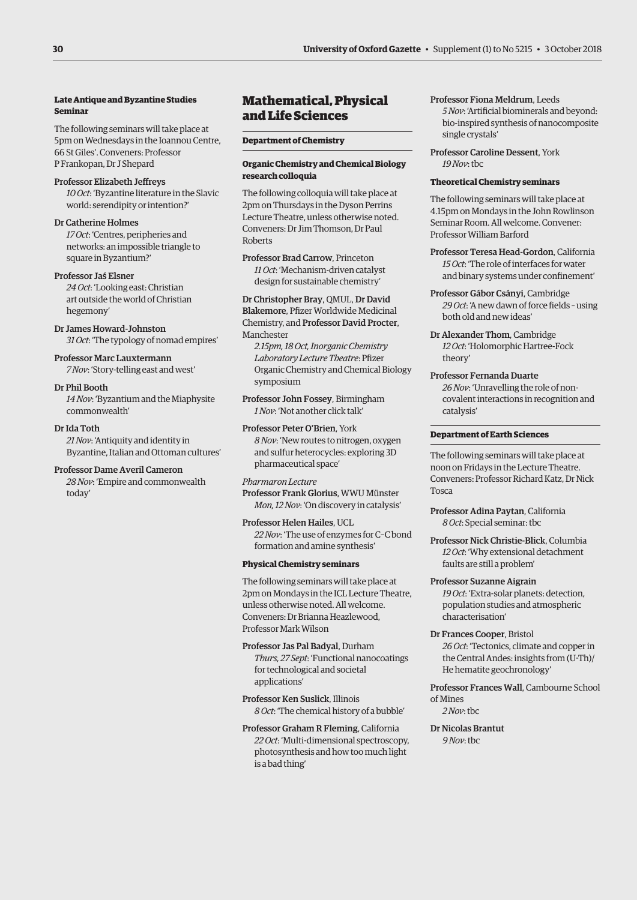### **Late Antique and Byzantine Studies Seminar**

The following seminars will take place at 5pm on Wednesdays in the Ioannou Centre, 66 St Giles'. Conveners: Professor P Frankopan, Dr J Shepard

### Professor Elizabeth Jeffreys

*10 Oct*: 'Byzantine literature in the Slavic world: serendipity or intention?'

### Dr Catherine Holmes

*17 Oct*: 'Centres, peripheries and networks: an impossible triangle to square in Byzantium?'

### Professor Jaś Elsner

*24 Oct*: 'Looking east: Christian art outside the world of Christian hegemony'

### Dr James Howard-Johnston *31 Oct*: 'The typology of nomad empires'

Professor Marc Lauxtermann

# *7 Nov*: 'Story-telling east and west'

Dr Phil Booth *14 Nov*: 'Byzantium and the Miaphysite commonwealth'

### Dr Ida Toth

*21 Nov*: 'Antiquity and identity in Byzantine, Italian and Ottoman cultures'

### Professor Dame Averil Cameron

*28 Nov*: 'Empire and commonwealth today'

# Mathematical, Physical and Life Sciences

### **Department of Chemistry**

### **Organic Chemistry and Chemical Biology research colloquia**

The following colloquia will take place at 2pm on Thursdays in the Dyson Perrins Lecture Theatre, unless otherwise noted. Conveners: Dr Jim Thomson, Dr Paul Roberts

### Professor Brad Carrow, Princeton *11 Oct*: 'Mechanism-driven catalyst

design for sustainable chemistry'

# Dr Christopher Bray, QMUL, Dr David

Blakemore, Pfizer Worldwide Medicinal Chemistry, and Professor David Procter,

Manchester

*2.15pm, 18 Oct, Inorganic Chemistry Laboratory Lecture Theatre*: Pfizer Organic Chemistry and Chemical Biology symposium

Professor John Fossey, Birmingham *1 Nov*: 'Not another click talk'

### Professor Peter O'Brien, York *8 Nov*: 'New routes to nitrogen, oxygen and sulfur heterocycles: exploring 3D pharmaceutical space'

### *Pharmaron Lecture*

Professor Frank Glorius, WWU Münster *Mon, 12 Nov*: 'On discovery in catalysis'

### Professor Helen Hailes, UCL *22 Nov*: 'The use of enzymes for C–C bond formation and amine synthesis'

### **Physical Chemistry seminars**

The following seminars will take place at 2pm on Mondays in the ICL Lecture Theatre, unless otherwise noted. All welcome. Conveners: Dr Brianna Heazlewood, Professor Mark Wilson

### Professor Jas Pal Badyal, Durham *Thurs, 27 Sept*: 'Functional nanocoatings for technological and societal applications'

Professor Ken Suslick, Illinois *8 Oct*: 'The chemical history of a bubble'

Professor Graham R Fleming, California *22 Oct*: 'Multi-dimensional spectroscopy, photosynthesis and how too much light is a bad thing'

### Professor Fiona Meldrum, Leeds *5 Nov*: 'Artificial biominerals and beyond: bio-inspired synthesis of nanocomposite single crystals'

Professor Caroline Dessent, York *19 Nov*: tbc

### **Theoretical Chemistry seminars**

The following seminars will take place at 4.15pm on Mondays in the John Rowlinson Seminar Room. All welcome. Convener: Professor William Barford

Professor Teresa Head-Gordon, California *15 Oct*: 'The role of interfaces for water and binary systems under confinement'

- Professor Gábor Csányi, Cambridge *29 Oct*: 'A new dawn of force fields – using both old and new ideas'
- Dr Alexander Thom, Cambridge *12 Oct*: 'Holomorphic Hartree-Fock theory'
- Professor Fernanda Duarte *26 Nov*: 'Unravelling the role of noncovalent interactions in recognition and catalysis'

### **Department of Earth Sciences**

The following seminars will take place at noon on Fridays in the Lecture Theatre. Conveners: Professor Richard Katz, Dr Nick Tosca

Professor Adina Paytan, California *8 Oct*: Special seminar: tbc

Professor Nick Christie-Blick, Columbia *12 Oct*: 'Why extensional detachment faults are still a problem'

# Professor Suzanne Aigrain

*19 Oct*: 'Extra-solar planets: detection, population studies and atmospheric characterisation'

Dr Frances Cooper, Bristol *26 Oct*: 'Tectonics, climate and copper in the Central Andes: insights from (U-Th)/ He hematite geochronology'

Professor Frances Wall, Cambourne School of Mines *2 Nov*: tbc

Dr Nicolas Brantut *9 Nov*: tbc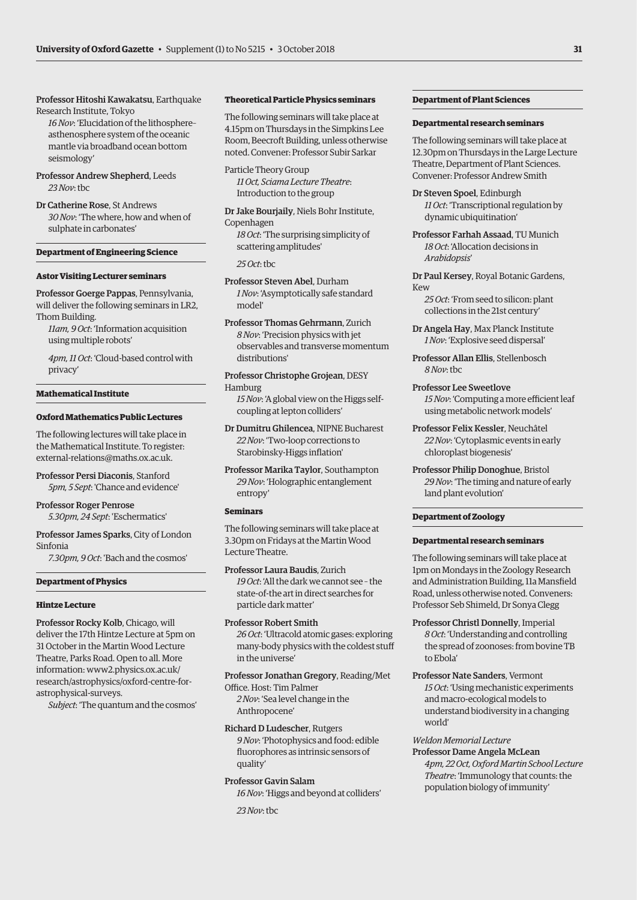Professor Hitoshi Kawakatsu, Earthquake Research Institute, Tokyo

*16 Nov*: 'Elucidation of the lithosphere– asthenosphere system of the oceanic mantle via broadband ocean bottom seismology'

Professor Andrew Shepherd, Leeds *23 Nov*: tbc

Dr Catherine Rose, St Andrews *30 Nov*: 'The where, how and when of sulphate in carbonates'

### **Department of Engineering Science**

### **Astor Visiting Lecturer seminars**

Professor Goerge Pappas, Pennsylvania, will deliver the following seminars in LR2, Thom Building.

*11am, 9 Oct*: 'Information acquisition using multiple robots'

*4pm, 11 Oct*: 'Cloud-based control with privacy'

### **Mathematical Institute**

### **Oxford Mathematics Public Lectures**

The following lectures will take place in the Mathematical Institute. To register: [external-relations@maths.ox.ac.uk.](mailto:external-relations@maths.ox.ac.uk)

Professor Persi Diaconis, Stanford *5pm, 5 Sept*: 'Chance and evidence'

Professor Roger Penrose *5.30pm, 24 Sept*: 'Eschermatics'

Professor James Sparks, City of London Sinfonia

*7.30pm, 9 Oct*: 'Bach and the cosmos'

### **Department of Physics**

### **Hintze Lecture**

Professor Rocky Kolb, Chicago, will deliver the 17th Hintze Lecture at 5pm on 31 October in the Martin Wood Lecture Theatre, Parks Road. Open to all. More information: www2.physics.ox.ac.uk/ [research/astrophysics/oxford-centre-for](www2.physics.ox.ac.uk/research/astrophysics/oxford-centre-for-astrophysical-surveys)astrophysical-surveys.

*Subject*: 'The quantum and the cosmos'

### **Theoretical Particle Physics seminars**

The following seminars will take place at 4.15pm on Thursdays in the Simpkins Lee Room, Beecroft Building, unless otherwise noted. Convener: Professor Subir Sarkar

Particle Theory Group *11 Oct, Sciama Lecture Theatre*: Introduction to the group

Dr Jake Bourjaily, Niels Bohr Institute, Copenhagen *18 Oct*: 'The surprising simplicity of scattering amplitudes'

*25 Oct*: tbc

Professor Steven Abel, Durham *1 Nov*: 'Asymptotically safe standard model'

Professor Thomas Gehrmann, Zurich *8 Nov*: 'Precision physics with jet observables and transverse momentum distributions'

Professor Christophe Grojean, DESY Hamburg

*15 Nov*: 'A global view on the Higgs selfcoupling at lepton colliders'

Dr Dumitru Ghilencea, NIPNE Bucharest *22 Nov*: 'Two-loop corrections to Starobinsky-Higgs inflation'

Professor Marika Taylor, Southampton *29 Nov*: 'Holographic entanglement entropy'

### **Seminars**

The following seminars will take place at 3.30pm on Fridays at the Martin Wood Lecture Theatre.

Professor Laura Baudis, Zurich *19 Oct*: 'All the dark we cannot see – the state-of-the art in direct searches for particle dark matter'

### Professor Robert Smith

*26 Oct*: 'Ultracold atomic gases: exploring many-body physics with the coldest stuff in the universe'

Professor Jonathan Gregory, Reading/Met

Office. Host: Tim Palmer *2 Nov*: 'Sea level change in the Anthropocene'

### Richard D Ludescher, Rutgers

*9 Nov*: 'Photophysics and food: edible fluorophores as intrinsic sensors of quality'

### Professor Gavin Salam

*16 Nov*: 'Higgs and beyond at colliders'

*23 Nov*: tbc

### **Department of Plant Sciences**

### **Departmental research seminars**

The following seminars will take place at 12.30pm on Thursdays in the Large Lecture Theatre, Department of Plant Sciences. Convener: Professor Andrew Smith

Dr Steven Spoel, Edinburgh *11 Oct*: 'Transcriptional regulation by dynamic ubiquitination'

Professor Farhah Assaad, TU Munich *18 Oct*: 'Allocation decisions in *Arabidopsis*'

Dr Paul Kersey, Royal Botanic Gardens, Kew

*25 Oct*: 'From seed to silicon: plant collections in the 21st century'

Dr Angela Hay, Max Planck Institute *1 Nov*: 'Explosive seed dispersal'

Professor Allan Ellis, Stellenbosch *8 Nov*: tbc

Professor Lee Sweetlove *15 Nov*: 'Computing a more efficient leaf using metabolic network models'

Professor Felix Kessler, Neuchâtel *22 Nov*: 'Cytoplasmic events in early chloroplast biogenesis'

Professor Philip Donoghue, Bristol *29 Nov*: 'The timing and nature of early land plant evolution'

### **Department of Zoology**

### **Departmental research seminars**

The following seminars will take place at 1pm on Mondays in the Zoology Research and Administration Building, 11a Mansfield Road, unless otherwise noted. Conveners: Professor Seb Shimeld, Dr Sonya Clegg

Professor Christl Donnelly, Imperial *8 Oct*: 'Understanding and controlling the spread of zoonoses: from bovine TB to Ebola'

Professor Nate Sanders, Vermont *15 Oct*: 'Using mechanistic experiments and macro-ecological models to understand biodiversity in a changing world'

### *Weldon Memorial Lecture*

Professor Dame Angela McLean *4pm, 22 Oct, Oxford Martin School Lecture* 

*Theatre*: 'Immunology that counts: the population biology of immunity'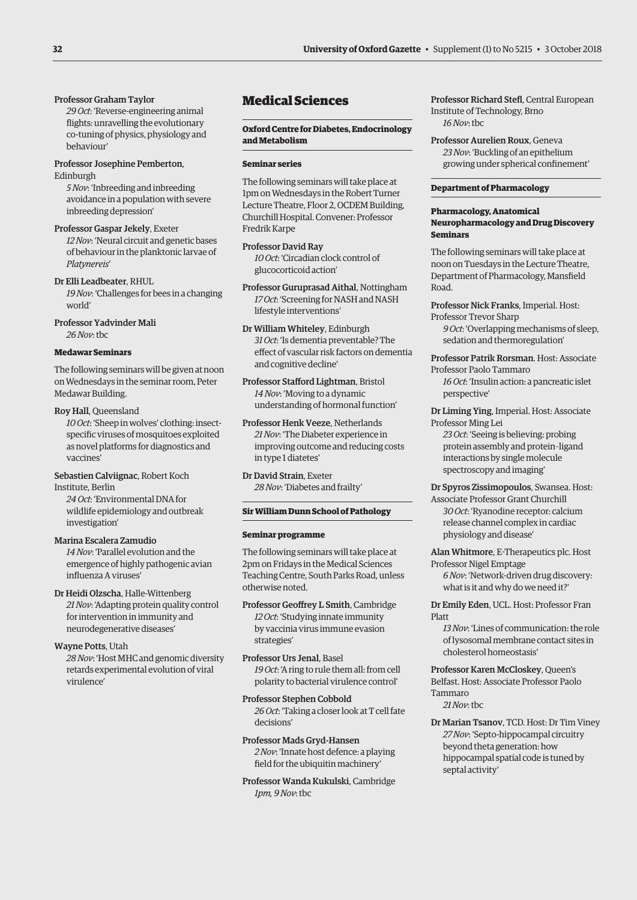### Professor Graham Taylor

*29 Oct*: 'Reverse-engineering animal flights: unravelling the evolutionary co-tuning of physics, physiology and behaviour'

### Professor Josephine Pemberton, Edinburgh

*5 Nov*: 'Inbreeding and inbreeding avoidance in a population with severe inbreeding depression'

Professor Gaspar Jekely, Exeter *12 Nov*: 'Neural circuit and genetic bases of behaviour in the planktonic larvae of *Platynereis*'

Dr Elli Leadbeater, RHUL *19 Nov*: 'Challenges for bees in a changing world'

Professor Yadvinder Mali *26 Nov*: tbc

### **Medawar Seminars**

The following seminars will be given at noon on Wednesdays in the seminar room, Peter Medawar Building.

Roy Hall, Queensland *10 Oct*: 'Sheep in wolves' clothing: insectspecific viruses of mosquitoes exploited as novel platforms for diagnostics and vaccines'

Sebastien Calviignac, Robert Koch Institute, Berlin

*24 Oct*: 'Environmental DNA for wildlife epidemiology and outbreak investigation'

### Marina Escalera Zamudio

*14 Nov*: 'Parallel evolution and the emergence of highly pathogenic avian influenza A viruses'

### Dr Heidi Olzscha, Halle-Wittenberg

*21 Nov*: 'Adapting protein quality control for intervention in immunity and neurodegenerative diseases'

### Wayne Potts, Utah

*28 Nov*: 'Host MHC and genomic diversity retards experimental evolution of viral virulence'

# Medical Sciences

### **Oxford Centre for Diabetes, Endocrinology and Metabolism**

### **Seminar series**

The following seminars will take place at 1pm on Wednesdays in the Robert Turner Lecture Theatre, Floor 2, OCDEM Building, Churchill Hospital. Convener: Professor Fredrik Karpe

Professor David Ray *10 Oct*: 'Circadian clock control of glucocorticoid action'

Professor Guruprasad Aithal, Nottingham *17 Oct*: 'Screening for NASH and NASH lifestyle interventions'

Dr William Whiteley, Edinburgh *31 Oct*: 'Is dementia preventable? The effect of vascular risk factors on dementia and cognitive decline'

Professor Stafford Lightman, Bristol *14 Nov*: 'Moving to a dynamic understanding of hormonal function'

Professor Henk Veeze, Netherlands *21 Nov*: 'The Diabeter experience in improving outcome and reducing costs in type 1 diatetes'

Dr David Strain, Exeter *28 Nov*: 'Diabetes and frailty'

### **Sir William Dunn School of Pathology**

### **Seminar programme**

The following seminars will take place at 2pm on Fridays in the Medical Sciences Teaching Centre, South Parks Road, unless otherwise noted.

Professor Geoffrey L Smith, Cambridge *12 Oct*: 'Studying innate immunity by vaccinia virus immune evasion strategies'

Professor Urs Jenal, Basel *19 Oct*: 'A ring to rule them all: from cell polarity to bacterial virulence control'

Professor Stephen Cobbold

*26 Oct*: 'Taking a closer look at T cell fate decisions'

Professor Mads Gryd-Hansen *2 Nov*: 'Innate host defence: a playing field for the ubiquitin machinery'

Professor Wanda Kukulski, Cambridge *1pm, 9 Nov*: tbc

Professor Richard Stefl, Central European Institute of Technology, Brno *16 Nov*: tbc

Professor Aurelien Roux, Geneva *23 Nov*: 'Buckling of an epithelium growing under spherical confinement'

### **Department of Pharmacology**

### **Pharmacology, Anatomical Neuropharmacology and Drug Discovery Seminars**

The following seminars will take place at noon on Tuesdays in the Lecture Theatre, Department of Pharmacology, Mansfield Road.

Professor Nick Franks, Imperial. Host: Professor Trevor Sharp

*9 Oct*: 'Overlapping mechanisms of sleep, sedation and thermoregulation'

Professor Patrik Rorsman. Host: Associate

Professor Paolo Tammaro *16 Oct*: 'Insulin action: a pancreatic islet perspective'

Dr Liming Ying, Imperial. Host: Associate Professor Ming Lei

*23 Oct*: 'Seeing is believing: probing protein assembly and protein–ligand interactions by single molecule spectroscopy and imaging'

Dr Spyros Zissimopoulos, Swansea. Host:

Associate Professor Grant Churchill *30 Oct*: 'Ryanodine receptor: calcium release channel complex in cardiac physiology and disease'

Alan Whitmore, E-Therapeutics plc. Host Professor Nigel Emptage

*6 Nov*: 'Network-driven drug discovery: what is it and why do we need it?'

Dr Emily Eden, UCL. Host: Professor Fran Platt

*13 Nov*: 'Lines of communication: the role of lysosomal membrane contact sites in cholesterol homeostasis'

Professor Karen McCloskey, Queen's Belfast. Host: Associate Professor Paolo Tammaro

*21 Nov*: tbc

Dr Marian Tsanov, TCD. Host: Dr Tim Viney *27 Nov*: 'Septo-hippocampal circuitry beyond theta generation: how hippocampal spatial code is tuned by septal activity'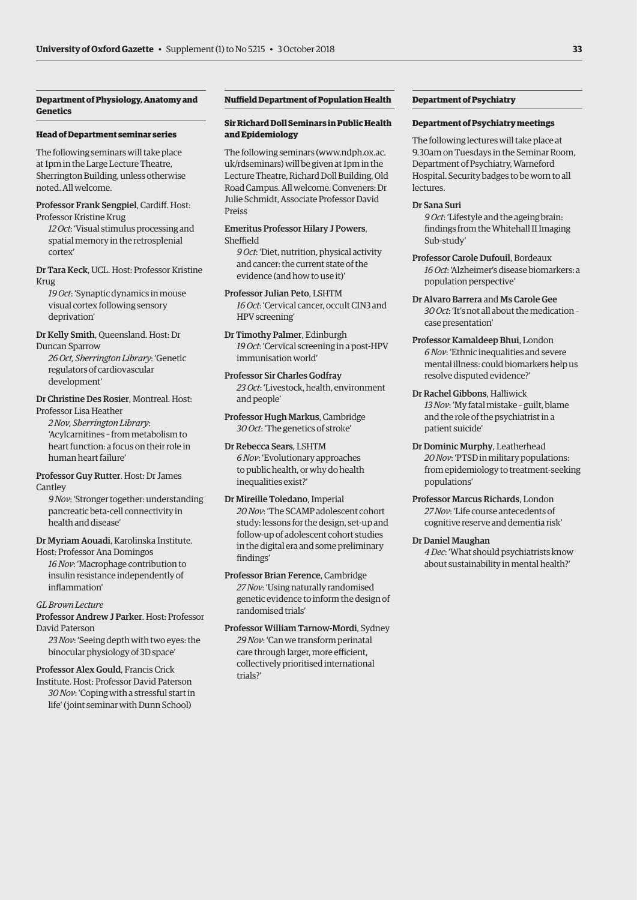### **Department of Physiology, Anatomy and Genetics**

### **Head of Department seminar series**

The following seminars will take place at 1pm in the Large Lecture Theatre, Sherrington Building, unless otherwise noted. All welcome.

Professor Frank Sengpiel, Cardiff. Host: Professor Kristine Krug

*12 Oct*: 'Visual stimulus processing and spatial memory in the retrosplenial cortex'

Dr Tara Keck, UCL. Host: Professor Kristine Krug

*19 Oct*: 'Synaptic dynamics in mouse visual cortex following sensory deprivation'

Dr Kelly Smith, Queensland. Host: Dr Duncan Sparrow

*26 Oct, Sherrington Library*: 'Genetic regulators of cardiovascular development'

### Dr Christine Des Rosier, Montreal. Host: Professor Lisa Heather

*2 Nov, Sherrington Library*: 'Acylcarnitines – from metabolism to heart function: a focus on their role in human heart failure'

Professor Guy Rutter. Host: Dr James Cantley

*9 Nov*: 'Stronger together: understanding pancreatic beta-cell connectivity in health and disease'

Dr Myriam Aouadi, Karolinska Institute.

Host: Professor Ana Domingos *16 Nov*: 'Macrophage contribution to insulin resistance independently of inflammation'

*GL Brown Lecture* 

Professor Andrew J Parker. Host: Professor David Paterson

*23 Nov*: 'Seeing depth with two eyes: the binocular physiology of 3D space'

Professor Alex Gould, Francis Crick

Institute. Host: Professor David Paterson *30 Nov*: 'Coping with a stressful start in life' (joint seminar with Dunn School)

### **Nuffield Department of Population Health**

### **Sir Richard Doll Seminars in Public Health and Epidemiology**

The following seminars [\(www.ndph.ox.ac.](http://www.ndph.ox.ac.uk/rdseminars) [uk/rdseminars\) wi](http://www.ndph.ox.ac.uk/rdseminars)ll be given at 1pm in the Lecture Theatre, Richard Doll Building, Old Road Campus. All welcome. Conveners: Dr Julie Schmidt, Associate Professor David Preiss

Emeritus Professor Hilary J Powers, Sheffield

*9 Oct*: 'Diet, nutrition, physical activity and cancer: the current state of the evidence (and how to use it)'

Professor Julian Peto, LSHTM *16 Oct*: 'Cervical cancer, occult CIN3 and HPV screening'

Dr Timothy Palmer, Edinburgh *19 Oct*: 'Cervical screening in a post-HPV immunisation world'

Professor Sir Charles Godfray *23 Oct*: 'Livestock, health, environment and people'

Professor Hugh Markus, Cambridge *30 Oct*: 'The genetics of stroke'

Dr Rebecca Sears, LSHTM *6 Nov*: 'Evolutionary approaches to public health, or why do health inequalities exist?'

Dr Mireille Toledano, Imperial *20 Nov*: 'The SCAMP adolescent cohort study: lessons for the design, set-up and follow-up of adolescent cohort studies in the digital era and some preliminary findings'

Professor Brian Ference, Cambridge *27 Nov*: 'Using naturally randomised genetic evidence to inform the design of randomised trials'

Professor William Tarnow-Mordi, Sydney *29 Nov*: 'Can we transform perinatal care through larger, more efficient, collectively prioritised international trials?'

### **Department of Psychiatry**

### **Department of Psychiatry meetings**

The following lectures will take place at 9.30am on Tuesdays in the Seminar Room, Department of Psychiatry, Warneford Hospital. Security badges to be worn to all **lectures** 

### Dr Sana Suri

*9 Oct*: 'Lifestyle and the ageing brain: findings from the Whitehall II Imaging Sub-study'

- Professor Carole Dufouil, Bordeaux *16 Oct*: 'Alzheimer's disease biomarkers: a population perspective'
- Dr Alvaro Barrera and Ms Carole Gee *30 Oct*: 'It's not all about the medication – case presentation'
- Professor Kamaldeep Bhui, London *6 Nov*: 'Ethnic inequalities and severe mental illness: could biomarkers help us resolve disputed evidence?'
- Dr Rachel Gibbons, Halliwick *13 Nov*: 'My fatal mistake – guilt, blame and the role of the psychiatrist in a patient suicide'
- Dr Dominic Murphy, Leatherhead *20 Nov*: 'PTSD in military populations: from epidemiology to treatment-seeking populations'
- Professor Marcus Richards, London *27 Nov*: 'Life course antecedents of cognitive reserve and dementia risk'
- Dr Daniel Maughan *4 Dec*: 'What should psychiatrists know

about sustainability in mental health?'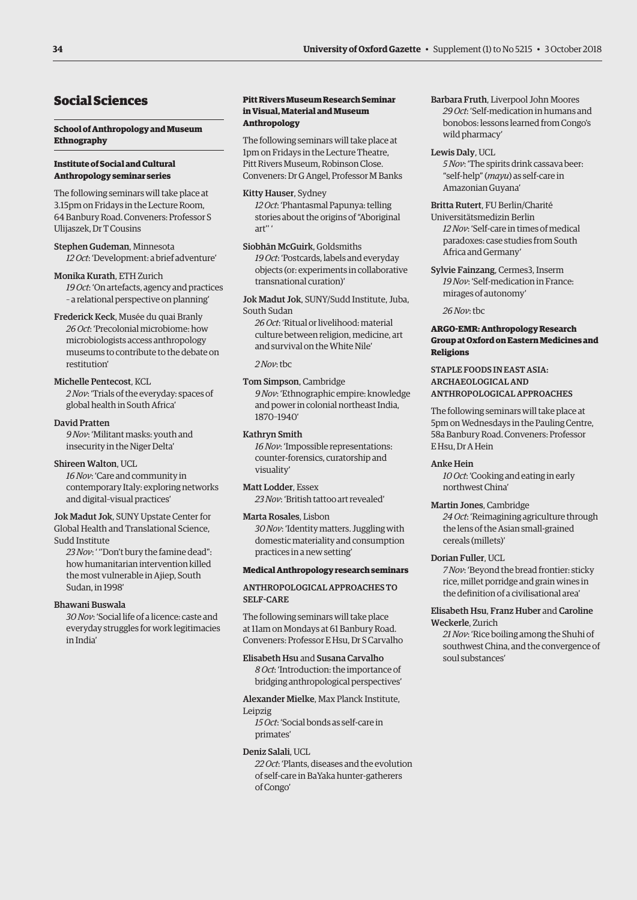# Social Sciences

### **School of Anthropology and Museum Ethnography**

### **Institute of Social and Cultural Anthropology seminar series**

The following seminars will take place at 3.15pm on Fridays in the Lecture Room, 64 Banbury Road. Conveners: Professor S Ulijaszek, Dr T Cousins

Stephen Gudeman, Minnesota *12 Oct*: 'Development: a brief adventure'

Monika Kurath, ETH Zurich *19 Oct*: 'On artefacts, agency and practices – a relational perspective on planning'

Frederick Keck, Musée du quai Branly *26 Oct*: 'Precolonial microbiome: how microbiologists access anthropology museums to contribute to the debate on restitution'

Michelle Pentecost, KCL *2 Nov*: 'Trials of the everyday: spaces of global health in South Africa'

David Pratten

*9 Nov*: 'Militant masks: youth and insecurity in the Niger Delta'

### Shireen Walton, UCL

*16 Nov*: 'Care and community in contemporary Italy: exploring networks and digital–visual practices'

Jok Madut Jok, SUNY Upstate Center for Global Health and Translational Science, Sudd Institute

*23 Nov*: ' ''Don't bury the famine dead": how humanitarian intervention killed the most vulnerable in Ajiep, South Sudan, in 1998'

### Bhawani Buswala

*30 Nov*: 'Social life of a licence: caste and everyday struggles for work legitimacies in India'

### **Pitt Rivers Museum Research Seminar in Visual, Material and Museum Anthropology**

The following seminars will take place at 1pm on Fridays in the Lecture Theatre, Pitt Rivers Museum, Robinson Close. Conveners: Dr G Angel, Professor M Banks

Kitty Hauser, Sydney *12 Oct*: 'Phantasmal Papunya: telling stories about the origins of "Aboriginal art'' '

Siobhān McGuirk, Goldsmiths *19 Oct*: 'Postcards, labels and everyday objects (or: experiments in collaborative transnational curation)'

Jok Madut Jok, SUNY/Sudd Institute, Juba, South Sudan

*26 Oct*: 'Ritual or livelihood: material culture between religion, medicine, art and survival on the White Nile'

*2 Nov*: tbc

### Tom Simpson, Cambridge

*9 Nov*: 'Ethnographic empire: knowledge and power in colonial northeast India, 1870–1940'

### Kathryn Smith

*16 Nov*: 'Impossible representations: counter-forensics, curatorship and visuality'

Matt Lodder, Essex *23 Nov*: 'British tattoo art revealed'

### Marta Rosales, Lisbon

*30 Nov*: 'Identity matters. Juggling with domestic materiality and consumption practices in a new setting'

### **Medical Anthropology research seminars**

### ANTHROPOLOGICAL APPROACHES TO SELF-CARE

The following seminars will take place at 11am on Mondays at 61 Banbury Road. Conveners: Professor E Hsu, Dr S Carvalho

### Elisabeth Hsu and Susana Carvalho

*8 Oct*: 'Introduction: the importance of bridging anthropological perspectives'

### Alexander Mielke, Max Planck Institute,

Leipzig

*15 Oct*: 'Social bonds as self-care in primates'

### Deniz Salali, UCL

*22 Oct*: 'Plants, diseases and the evolution of self-care in BaYaka hunter-gatherers of Congo'

Barbara Fruth, Liverpool John Moores *29 Oct*: 'Self-medication in humans and bonobos: lessons learned from Congo's wild pharmacy'

### Lewis Daly, UCL

*5 Nov*: 'The spirits drink cassava beer: "self-help" (*mayu*) as self-care in Amazonian Guyana'

### Britta Rutert, FU Berlin/Charité

Universitätsmedizin Berlin *12 Nov*: 'Self-care in times of medical paradoxes: case studies from South Africa and Germany'

Sylvie Fainzang, Cermes3, Inserm *19 Nov*: 'Self-medication in France: mirages of autonomy'

*26 Nov*: tbc

### **ARGO-EMR: Anthropology Research Group at Oxford on Eastern Medicines and Religions**

### STAPLE FOODS IN EAST ASIA: ARCHAEOLOGICAL AND ANTHROPOLOGICAL APPROACHES

The following seminars will take place at 5pm on Wednesdays in the Pauling Centre, 58a Banbury Road. Conveners: Professor E Hsu, Dr A Hein

### Anke Hein

*10 Oct*: 'Cooking and eating in early northwest China'

### Martin Jones, Cambridge

*24 Oct*: 'Reimagining agriculture through the lens of the Asian small-grained cereals (millets)'

### Dorian Fuller, UCL

*7 Nov*: 'Beyond the bread frontier: sticky rice, millet porridge and grain wines in the definition of a civilisational area'

### Elisabeth Hsu, Franz Huber and Caroline Weckerle, Zurich

*21 Nov*: 'Rice boiling among the Shuhi of southwest China, and the convergence of soul substances'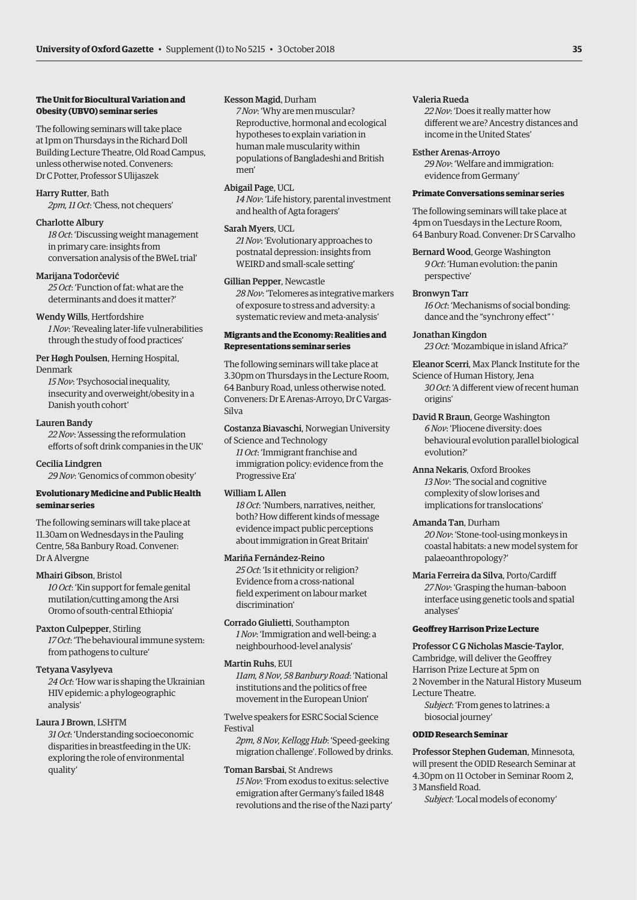### **The Unit for Biocultural Variation and Obesity (UBVO) seminar series**

The following seminars will take place at 1pm on Thursdays in the Richard Doll Building Lecture Theatre, Old Road Campus, unless otherwise noted. Conveners: Dr C Potter, Professor S Ulijaszek

### Harry Rutter, Bath

*2pm, 11 Oct*: 'Chess, not chequers'

### Charlotte Albury

*18 Oct*: 'Discussing weight management in primary care: insights from conversation analysis of the BWeL trial'

### Marijana Todorčević

*25 Oct*: 'Function of fat: what are the determinants and does it matter?'

### Wendy Wills, Hertfordshire

*1 Nov*: 'Revealing later-life vulnerabilities through the study of food practices'

Per Høgh Poulsen, Herning Hospital, Denmark

*15 Nov*: 'Psychosocial inequality, insecurity and overweight/obesity in a Danish youth cohort'

### Lauren Bandy

*22 Nov*: 'Assessing the reformulation efforts of soft drink companies in the UK'

### Cecilia Lindgren

*29 Nov*: 'Genomics of common obesity'

### **Evolutionary Medicine and Public Health seminar series**

The following seminars will take place at 11.30am on Wednesdays in the Pauling Centre, 58a Banbury Road. Convener: Dr A Alvergne

### Mhairi Gibson, Bristol

*10 Oct*: 'Kin support for female genital mutilation/cutting among the Arsi Oromo of south-central Ethiopia'

### Paxton Culpepper, Stirling

*17 Oct*: 'The behavioural immune system: from pathogens to culture'

### Tetyana Vasylyeva

*24 Oct*: 'How war is shaping the Ukrainian HIV epidemic: a phylogeographic analysis'

### Laura J Brown, LSHTM

*31 Oct*: 'Understanding socioeconomic disparities in breastfeeding in the UK: exploring the role of environmental quality'

### Kesson Magid, Durham

*7 Nov*: 'Why are men muscular? Reproductive, hormonal and ecological hypotheses to explain variation in human male muscularity within populations of Bangladeshi and British men'

### Abigail Page, UCL

*14 Nov*: 'Life history, parental investment and health of Agta foragers'

### Sarah Myers, UCL

*21 Nov*: 'Evolutionary approaches to postnatal depression: insights from WEIRD and small-scale setting'

### Gillian Pepper, Newcastle

*28 Nov*: 'Telomeres as integrative markers of exposure to stress and adversity: a systematic review and meta-analysis'

### **Migrants and the Economy: Realities and Representations seminar series**

The following seminars will take place at 3.30pm on Thursdays in the Lecture Room, 64 Banbury Road, unless otherwise noted. Conveners: Dr E Arenas-Arroyo, Dr C Vargas-Silva

Costanza Biavaschi, Norwegian University of Science and Technology

*11 Oct*: 'Immigrant franchise and immigration policy: evidence from the Progressive Era'

### William L Allen

*18 Oct*: 'Numbers, narratives, neither, both? How different kinds of message evidence impact public perceptions about immigration in Great Britain'

### Mariña Fernández-Reino

*25 Oct*: 'Is it ethnicity or religion? Evidence from a cross-national field experiment on labour market discrimination'

Corrado Giulietti, Southampton *1 Nov*: 'Immigration and well-being: a neighbourhood-level analysis'

### Martin Ruhs, EUI

*11am, 8 Nov, 58 Banbury Road*: 'National institutions and the politics of free movement in the European Union'

Twelve speakers for ESRC Social Science Festival

*2pm, 8 Nov, Kellogg Hub*: 'Speed-geeking migration challenge'. Followed by drinks.

### Toman Barsbai, St Andrews

*15 Nov*: 'From exodus to exitus: selective emigration after Germany's failed 1848 revolutions and the rise of the Nazi party'

### Valeria Rueda

*22 Nov*: 'Does it really matter how different we are? Ancestry distances and income in the United States'

### Esther Arenas-Arroyo

*29 Nov*: 'Welfare and immigration: evidence from Germany'

### **Primate Conversations seminar series**

The following seminars will take place at 4pm on Tuesdays in the Lecture Room, 64 Banbury Road. Convener: Dr S Carvalho

### Bernard Wood, George Washington *9 Oct*: 'Human evolution: the panin perspective'

### Bronwyn Tarr

*16 Oct*: 'Mechanisms of social bonding: dance and the "synchrony effect" '

Jonathan Kingdon *23 Oct*: 'Mozambique in island Africa?'

Eleanor Scerri, Max Planck Institute for the

Science of Human History, Jena *30 Oct*: 'A different view of recent human origins'

- David R Braun, George Washington *6 Nov*: 'Pliocene diversity: does behavioural evolution parallel biological evolution?'
- Anna Nekaris, Oxford Brookes *13 Nov*: 'The social and cognitive complexity of slow lorises and implications for translocations'
- Amanda Tan, Durham *20 Nov*: 'Stone-tool-using monkeys in coastal habitats: a new model system for palaeoanthropology?'
- Maria Ferreira da Silva, Porto/Cardiff *27 Nov*: 'Grasping the human–baboon interface using genetic tools and spatial analyses'

### **Geoffrey Harrison Prize Lecture**

### Professor C G Nicholas Mascie-Taylor,

Cambridge, will deliver the Geoffrey Harrison Prize Lecture at 5pm on 2 November in the Natural History Museum

Lecture Theatre. *Subject*: 'From genes to latrines: a

biosocial journey'

### **ODID Research Seminar**

Professor Stephen Gudeman, Minnesota, will present the ODID Research Seminar at 4.30pm on 11 October in Seminar Room 2, 3 Mansfield Road.

*Subject*: 'Local models of economy'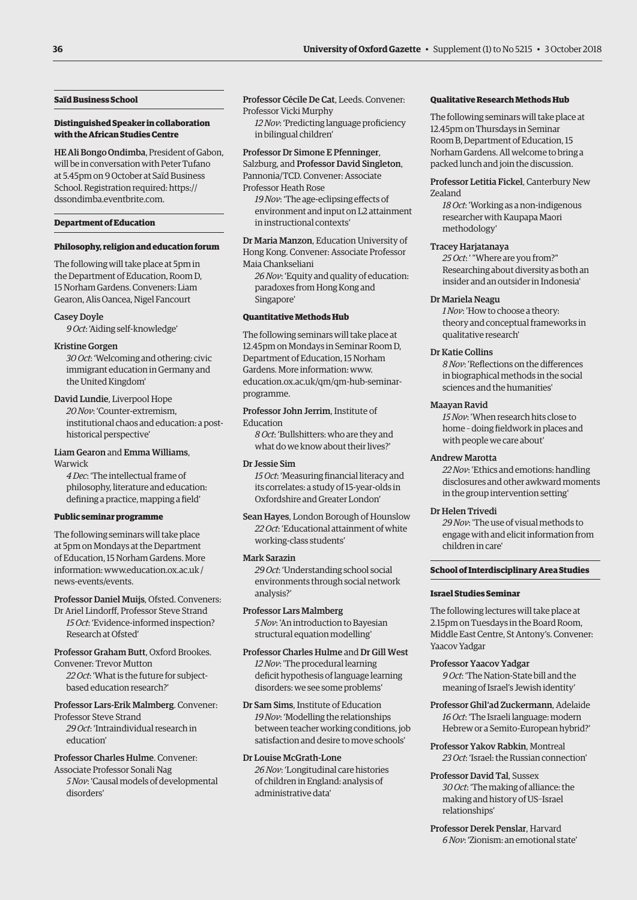### **Saïd Business School**

### **Distinguished Speaker in collaboration with the African Studies Centre**

HE Ali Bongo Ondimba, President of Gabon, will be in conversation with Peter Tufano at 5.45pm on 9 October at Saïd Business School. Registration required: [https://](https://dssondimba.eventbrite.com) [dssondimba.eventbrite.com.](https://dssondimba.eventbrite.com)

### **Department of Education**

### **Philosophy, religion and education forum**

The following will take place at 5pm in the Department of Education, Room D, 15 Norham Gardens. Conveners: Liam Gearon, Alis Oancea, Nigel Fancourt

### Casey Doyle

*9 Oct*: 'Aiding self-knowledge'

### Kristine Gorgen

*30 Oct*: 'Welcoming and othering: civic immigrant education in Germany and the United Kingdom'

### David Lundie, Liverpool Hope

*20 Nov*: 'Counter-extremism, institutional chaos and education: a posthistorical perspective'

### Liam Gearon and Emma Williams, Warwick

*4 Dec*: 'The intellectual frame of

philosophy, literature and education: defining a practice, mapping a field'

### **Public seminar programme**

The following seminars will take place at 5pm on Mondays at the Department of Education, 15 Norham Gardens. More [information: www.education.ox.ac.uk /](www.education.ox.ac.uk/news-events/events) news-events/events.

Professor Daniel Muijs, Ofsted. Conveners:

Dr Ariel Lindorff, Professor Steve Strand *15 Oct*: 'Evidence-informed inspection? Research at Ofsted'

Professor Graham Butt, Oxford Brookes. Convener: Trevor Mutton *22 Oct*: 'What is the future for subject-

based education research?'

### Professor Lars-Erik Malmberg. Convener: Professor Steve Strand

*29 Oct*: 'Intraindividual research in education'

Professor Charles Hulme. Convener: Associate Professor Sonali Nag

*5 Nov*: 'Causal models of developmental disorders'

Professor Cécile De Cat, Leeds. Convener: Professor Vicki Murphy

*12 Nov*: 'Predicting language proficiency in bilingual children'

### Professor Dr Simone E Pfenninger,

Salzburg, and Professor David Singleton, Pannonia/TCD. Convener: Associate Professor Heath Rose

*19 Nov*: 'The age-eclipsing effects of environment and input on L2 attainment in instructional contexts'

Dr Maria Manzon, Education University of Hong Kong. Convener: Associate Professor Maia Chankseliani

*26 Nov*: 'Equity and quality of education: paradoxes from Hong Kong and Singapore'

### **Quantitative Methods Hub**

The following seminars will take place at 12.45pm on Mondays in Seminar Room D, Department of Education, 15 Norham Gardens. More information: www. [education.ox.ac.uk/qm/qm-hub-seminar](www.education.ox.ac.uk/qm/qm-hub-seminar-programme)programme.

Professor John Jerrim, Institute of Education

*8 Oct*: 'Bullshitters: who are they and what do we know about their lives?'

### Dr Jessie Sim

*15 Oct*: 'Measuring financial literacy and its correlates: a study of 15-year-olds in Oxfordshire and Greater London'

Sean Hayes, London Borough of Hounslow *22 Oct*: 'Educational attainment of white working-class students'

### Mark Sarazin

*29 Oct*: 'Understanding school social environments through social network analysis?'

### Professor Lars Malmberg

*5 Nov*: 'An introduction to Bayesian structural equation modelling'

Professor Charles Hulme and Dr Gill West *12 Nov*: 'The procedural learning deficit hypothesis of language learning disorders: we see some problems'

Dr Sam Sims, Institute of Education *19 Nov*: 'Modelling the relationships between teacher working conditions, job satisfaction and desire to move schools'

### Dr Louise McGrath-Lone *26 Nov*: 'Longitudinal care histories of children in England: analysis of administrative data'

### **Qualitative Research Methods Hub**

The following seminars will take place at 12.45pm on Thursdays in Seminar Room B, Department of Education, 15 Norham Gardens. All welcome to bring a packed lunch and join the discussion.

Professor Letitia Fickel, Canterbury New Zealand

*18 Oct*: 'Working as a non-indigenous researcher with Kaupapa Maori methodology'

### Tracey Harjatanaya

*25 Oct*: ' "Where are you from?" Researching about diversity as both an insider and an outsider in Indonesia'

### Dr Mariela Neagu

*1 Nov*: 'How to choose a theory: theory and conceptual frameworks in qualitative research'

### Dr Katie Collins

*8 Nov*: 'Reflections on the differences in biographical methods in the social sciences and the humanities'

### Maayan Ravid

*15 Nov*: 'When research hits close to home – doing fieldwork in places and with people we care about'

### Andrew Marotta

*22 Nov*: 'Ethics and emotions: handling disclosures and other awkward moments in the group intervention setting'

### Dr Helen Trivedi

*29 Nov*: 'The use of visual methods to engage with and elicit information from children in care'

### **School of Interdisciplinary Area Studies**

### **Israel Studies Seminar**

The following lectures will take place at 2.15pm on Tuesdays in the Board Room, Middle East Centre, St Antony's. Convener: Yaacov Yadgar

Professor Yaacov Yadgar *9 Oct*: 'The Nation-State bill and the meaning of Israel's Jewish identity'

- Professor Ghil'ad Zuckermann, Adelaide *16 Oct*: 'The Israeli language: modern Hebrew or a Semito-European hybrid?'
- Professor Yakov Rabkin, Montreal *23 Oct*: 'Israel: the Russian connection'
- Professor David Tal, Sussex *30 Oct*: 'The making of alliance: the making and history of US–Israel relationships'

Professor Derek Penslar, Harvard *6 Nov*: 'Zionism: an emotional state'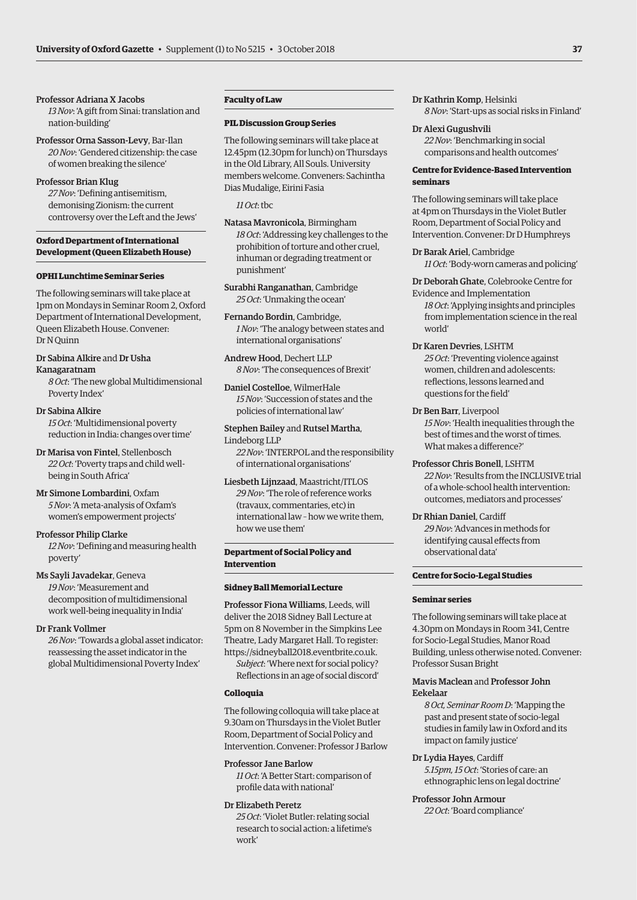### Professor Adriana X Jacobs

*13 Nov*: 'A gift from Sinai: translation and nation-building'

Professor Orna Sasson-Levy, Bar-Ilan *20 Nov*: 'Gendered citizenship: the case of women breaking the silence'

### Professor Brian Klug

*27 Nov*: 'Defining antisemitism, demonising Zionism: the current controversy over the Left and the Jews'

### **Oxford Department of International Development (Queen Elizabeth House)**

### **OPHI Lunchtime Seminar Series**

The following seminars will take place at 1pm on Mondays in Seminar Room 2, Oxford Department of International Development, Queen Elizabeth House. Convener: Dr N Quinn

### Dr Sabina Alkire and Dr Usha Kanagaratnam

*8 Oct*: 'The new global Multidimensional Poverty Index'

### Dr Sabina Alkire

*15 Oct*: 'Multidimensional poverty reduction in India: changes over time'

Dr Marisa von Fintel, Stellenbosch *22 Oct*: 'Poverty traps and child wellbeing in South Africa'

Mr Simone Lombardini, Oxfam *5 Nov*: 'A meta-analysis of Oxfam's women's empowerment projects'

### Professor Philip Clarke

*12 Nov*: 'Defining and measuring health poverty'

### Ms Sayli Javadekar, Geneva

*19 Nov*: 'Measurement and decomposition of multidimensional work well-being inequality in India'

### Dr Frank Vollmer

*26 Nov*: 'Towards a global asset indicator: reassessing the asset indicator in the global Multidimensional Poverty Index'

### **Faculty of Law**

### **PIL Discussion Group Series**

The following seminars will take place at 12.45pm (12.30pm for lunch) on Thursdays in the Old Library, All Souls. University members welcome. Conveners: Sachintha Dias Mudalige, Eirini Fasia

*11 Oct*: tbc

Natasa Mavronicola, Birmingham *18 Oct*: 'Addressing key challenges to the prohibition of torture and other cruel, inhuman or degrading treatment or punishment'

Surabhi Ranganathan, Cambridge *25 Oct*: 'Unmaking the ocean'

Fernando Bordin, Cambridge, *1 Nov*: 'The analogy between states and international organisations'

Andrew Hood, Dechert LLP *8 Nov*: 'The consequences of Brexit'

Daniel Costelloe, WilmerHale *15 Nov*: 'Succession of states and the policies of international law'

Stephen Bailey and Rutsel Martha, Lindeborg LLP *22 Nov*: 'INTERPOL and the responsibility of international organisations'

### Liesbeth Lijnzaad, Maastricht/ITLOS *29 Nov*: 'The role of reference works (travaux, commentaries, etc) in international law – how we write them, how we use them'

### **Department of Social Policy and Intervention**

### **Sidney Ball Memorial Lecture**

Professor Fiona Williams, Leeds, will deliver the 2018 Sidney Ball Lecture at 5pm on 8 November in the Simpkins Lee Theatre, Lady Margaret Hall. To register: [https://sidneyball2018.eventbrite.co.uk.](https://sidneyball2018.eventbrite.co.uk) *Subject*: 'Where next for social policy?

Reflections in an age of social discord'

### **Colloquia**

The following colloquia will take place at 9.30am on Thursdays in the Violet Butler Room, Department of Social Policy and Intervention. Convener: Professor J Barlow

### Professor Jane Barlow

*11 Oct*: 'A Better Start: comparison of profile data with national'

### Dr Elizabeth Peretz

*25 Oct*: 'Violet Butler: relating social research to social action: a lifetime's work'

### Dr Kathrin Komp, Helsinki *8 Nov*: 'Start-ups as social risks in Finland'

### Dr Alexi Gugushvili

*22 Nov*: 'Benchmarking in social comparisons and health outcomes'

### **Centre for Evidence-Based Intervention seminars**

The following seminars will take place at 4pm on Thursdays in the Violet Butler Room, Department of Social Policy and Intervention. Convener: Dr D Humphreys

### Dr Barak Ariel, Cambridge

*11 Oct*: 'Body-worn cameras and policing'

Dr Deborah Ghate, Colebrooke Centre for Evidence and Implementation

*18 Oct*: 'Applying insights and principles from implementation science in the real world'

### Dr Karen Devries, LSHTM

*25 Oct*: 'Preventing violence against women, children and adolescents: reflections, lessons learned and questions for the field'

### Dr Ben Barr, Liverpool

*15 Nov*: 'Health inequalities through the best of times and the worst of times. What makes a difference?'

### Professor Chris Bonell, LSHTM

*22 Nov*: 'Results from the INCLUSIVE trial of a whole-school health intervention: outcomes, mediators and processes'

### Dr Rhian Daniel, Cardiff

*29 Nov*: 'Advances in methods for identifying causal effects from observational data'

### **Centre for Socio-Legal Studies**

### **Seminar series**

The following seminars will take place at 4.30pm on Mondays in Room 341, Centre for Socio-Legal Studies, Manor Road Building, unless otherwise noted. Convener: Professor Susan Bright

### Mavis Maclean and Professor John Eekelaar

*8 Oct, Seminar Room D*: 'Mapping the past and present state of socio-legal studies in family law in Oxford and its impact on family justice'

### Dr Lydia Hayes, Cardiff

*5.15pm, 15 Oct*: 'Stories of care: an ethnographic lens on legal doctrine'

# Professor John Armour

*22 Oct*: 'Board compliance'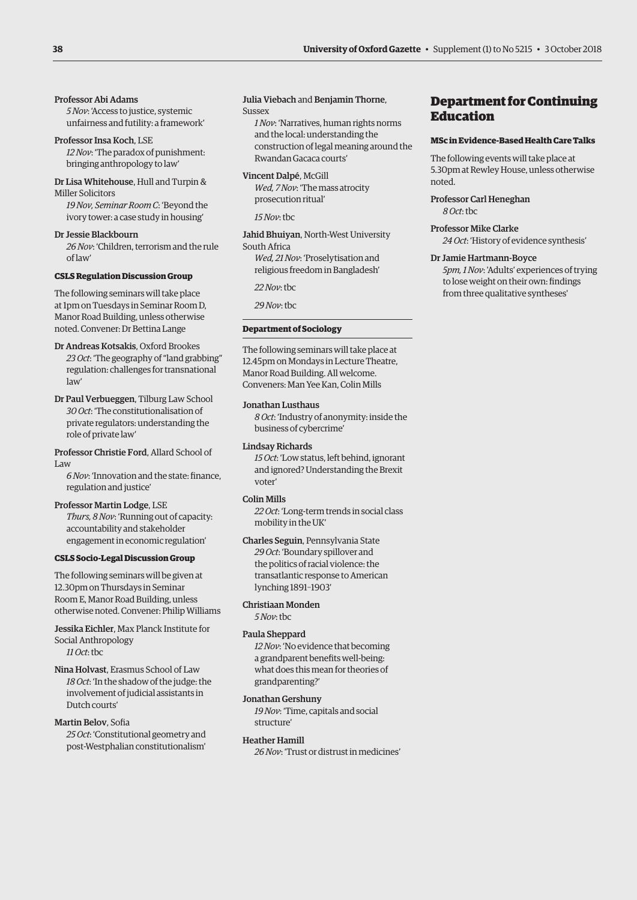### Professor Abi Adams

*5 Nov*: 'Access to justice, systemic unfairness and futility: a framework'

Professor Insa Koch, LSE *12 Nov*: 'The paradox of punishment: bringing anthropology to law'

Dr Lisa Whitehouse, Hull and Turpin & Miller Solicitors

*19 Nov, Seminar Room C*: 'Beyond the ivory tower: a case study in housing'

Dr Jessie Blackbourn *26 Nov*: 'Children, terrorism and the rule of law'

### **CSLS Regulation Discussion Group**

The following seminars will take place at 1pm on Tuesdays in Seminar Room D, Manor Road Building, unless otherwise noted. Convener: Dr Bettina Lange

### Dr Andreas Kotsakis, Oxford Brookes

*23 Oct*: 'The geography of "land grabbing" regulation: challenges for transnational law'

Dr Paul Verbueggen, Tilburg Law School *30 Oct*: 'The constitutionalisation of private regulators: understanding the role of private law'

### Professor Christie Ford, Allard School of Law

*6 Nov*: 'Innovation and the state: finance, regulation and justice'

### Professor Martin Lodge, LSE

*Thurs, 8 Nov*: 'Running out of capacity: accountability and stakeholder engagement in economic regulation'

### **CSLS Socio-Legal Discussion Group**

The following seminars will be given at 12.30pm on Thursdays in Seminar Room E, Manor Road Building, unless otherwise noted. Convener: Philip Williams

Jessika Eichler, Max Planck Institute for Social Anthropology *11 Oct*: tbc

Nina Holvast, Erasmus School of Law *18 Oct*: 'In the shadow of the judge: the involvement of judicial assistants in Dutch courts'

### Martin Belov, Sofia

*25 Oct*: 'Constitutional geometry and post-Westphalian constitutionalism'

### Julia Viebach and Benjamin Thorne, **Sussex**

*1 Nov*: 'Narratives, human rights norms and the local: understanding the construction of legal meaning around the Rwandan Gacaca courts'

Vincent Dalpé, McGill *Wed, 7 Nov*: 'The mass atrocity prosecution ritual'

*15 Nov*: tbc

Jahid Bhuiyan, North-West University South Africa

*Wed, 21 Nov*: 'Proselytisation and religious freedom in Bangladesh'

*22 Nov*: tbc

*29 Nov*: tbc

### **Department of Sociology**

The following seminars will take place at 12.45pm on Mondays in Lecture Theatre, Manor Road Building. All welcome. Conveners: Man Yee Kan, Colin Mills

### Jonathan Lusthaus

*8 Oct*: 'Industry of anonymity: inside the business of cybercrime'

### Lindsay Richards

*15 Oct*: 'Low status, left behind, ignorant and ignored? Understanding the Brexit voter'

### Colin Mills

*22 Oct*: 'Long-term trends in social class mobility in the UK'

Charles Seguin, Pennsylvania State *29 Oct*: 'Boundary spillover and the politics of racial violence: the transatlantic response to American lynching 1891–1903'

### Christiaan Monden

*5 Nov*: tbc

### Paula Sheppard

*12 Nov*: 'No evidence that becoming a grandparent benefits well-being: what does this mean for theories of grandparenting?'

### Jonathan Gershuny

*19 Nov*: 'Time, capitals and social structure'

### Heather Hamill

*26 Nov*: 'Trust or distrust in medicines'

# Department for Continuing Education

### **MSc in Evidence-Based Health Care Talks**

The following events will take place at 5.30pm at Rewley House, unless otherwise noted.

### Professor Carl Heneghan *8 Oct*: tbc

Professor Mike Clarke

*24 Oct*: 'History of evidence synthesis'

### Dr Jamie Hartmann-Boyce

*5pm, 1 Nov*: 'Adults' experiences of trying to lose weight on their own: findings from three qualitative syntheses'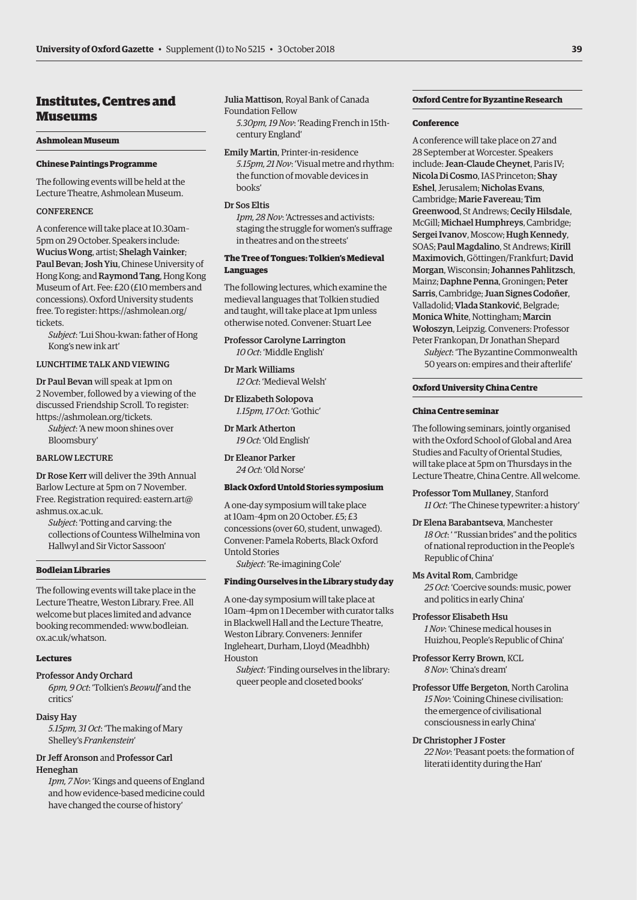# Institutes, Centres and Museums

### **Ashmolean Museum**

### **Chinese Paintings Programme**

The following events will be held at the Lecture Theatre, Ashmolean Museum.

### **CONFERENCE**

A conference will take place at 10.30am– 5pm on 29 October. Speakers include: Wucius Wong, artist; Shelagh Vainker; Paul Bevan; Josh Yiu, Chinese University of Hong Kong; and Raymond Tang, Hong Kong Museum of Art. Fee: £20 (£10 members and concessions). Oxford University students [free. To register: https://ashmolean.org/](https://ashmolean.org/tickets) tickets.

*Subject*: 'Lui Shou-kwan: father of Hong Kong's new ink art'

LUNCHTIME TALK AND VIEWING

Dr Paul Bevan will speak at 1pm on 2 November, followed by a viewing of the discussed Friendship Scroll. To register: [https://ashmolean.org/tickets.](https://ashmolean.org/tickets)

*Subject*: 'A new moon shines over Bloomsbury'

### BARLOW LECTURE

Dr Rose Kerr will deliver the 39th Annual Barlow Lecture at 5pm on 7 November. Free. Registration required: eastern.art@ ashmus.ox.ac.uk.

*Subject*: 'Potting and carving: the collections of Countess Wilhelmina von Hallwyl and Sir Victor Sassoon'

### **Bodleian Libraries**

The following events will take place in the Lecture Theatre, Weston Library. Free. All welcome but places limited and advance [booking recommended: www.bodleian.](www.bodleian.ox.ac.uk/whatson) ox.ac.uk/whatson.

### **Lectures**

### Professor Andy Orchard

*6pm, 9 Oct*: 'Tolkien's *Beowulf* and the critics'

### Daisy Hay

*5.15pm, 31 Oct*: 'The making of Mary Shelley's *Frankenstein*'

### Dr Jeff Aronson and Professor Carl Heneghan

*1pm, 7 Nov*: 'Kings and queens of England and how evidence-based medicine could have changed the course of history'

Julia Mattison, Royal Bank of Canada Foundation Fellow

*5.30pm, 19 Nov*: 'Reading French in 15thcentury England'

Emily Martin, Printer-in-residence *5.15pm, 21 Nov*: 'Visual metre and rhythm: the function of movable devices in books'

### Dr Sos Eltis

*1pm, 28 Nov*: 'Actresses and activists: staging the struggle for women's suffrage in theatres and on the streets'

### **The Tree of Tongues: Tolkien's Medieval Languages**

The following lectures, which examine the medieval languages that Tolkien studied and taught, will take place at 1pm unless otherwise noted. Convener: Stuart Lee

Professor Carolyne Larrington *10 Oct*: 'Middle English'

Dr Mark Williams *12 Oct*: 'Medieval Welsh'

Dr Elizabeth Solopova *1.15pm, 17 Oct*: 'Gothic'

Dr Mark Atherton *19 Oct*: 'Old English'

Dr Eleanor Parker *24 Oct*: 'Old Norse'

### **Black Oxford Untold Stories symposium**

A one-day symposium will take place at 10am–4pm on 20 October. £5; £3 concessions (over 60, student, unwaged). Convener: Pamela Roberts, Black Oxford Untold Stories

*Subject*: 'Re-imagining Cole'

### **Finding Ourselves in the Library study day**

A one-day symposium will take place at 10am–4pm on 1 December with curator talks in Blackwell Hall and the Lecture Theatre, Weston Library. Conveners: Jennifer Ingleheart, Durham, Lloyd (Meadhbh) Houston

*Subject*: 'Finding ourselves in the library: queer people and closeted books'

### **Oxford Centre for Byzantine Research**

### **Conference**

A conference will take place on 27 and 28 September at Worcester. Speakers include: Jean-Claude Cheynet, Paris IV; Nicola Di Cosmo, IAS Princeton; Shay Eshel, Jerusalem; Nicholas Evans, Cambridge; Marie Favereau; Tim Greenwood, St Andrews; Cecily Hilsdale, McGill; Michael Humphreys, Cambridge; Sergei Ivanov, Moscow; Hugh Kennedy, SOAS; Paul Magdalino, St Andrews; Kirill Maximovich, Göttingen/Frankfurt; David Morgan, Wisconsin; Johannes Pahlitzsch, Mainz; Daphne Penna, Groningen; Peter Sarris, Cambridge; Juan Signes Codoñer, Valladolid; Vlada Stanković, Belgrade; Monica White, Nottingham; Marcin Wołoszyn, Leipzig. Conveners: Professor Peter Frankopan, Dr Jonathan Shepard

*Subject*: 'The Byzantine Commonwealth 50 years on: empires and their afterlife'

### **Oxford University China Centre**

### **China Centre seminar**

The following seminars, jointly organised with the Oxford School of Global and Area Studies and Faculty of Oriental Studies, will take place at 5pm on Thursdays in the Lecture Theatre, China Centre. All welcome.

Professor Tom Mullaney, Stanford *11 Oct*: 'The Chinese typewriter: a history'

Dr Elena Barabantseva, Manchester *18 Oct*: ' "Russian brides" and the politics of national reproduction in the People's Republic of China'

Ms Avital Rom, Cambridge *25 Oct*: 'Coercive sounds: music, power and politics in early China'

Professor Elisabeth Hsu *1 Nov*: 'Chinese medical houses in

Huizhou, People's Republic of China'

Professor Kerry Brown, KCL *8 Nov*: 'China's dream'

Professor Uffe Bergeton, North Carolina *15 Nov*: 'Coining Chinese civilisation: the emergence of civilisational consciousness in early China'

### Dr Christopher J Foster

*22 Nov*: 'Peasant poets: the formation of literati identity during the Han'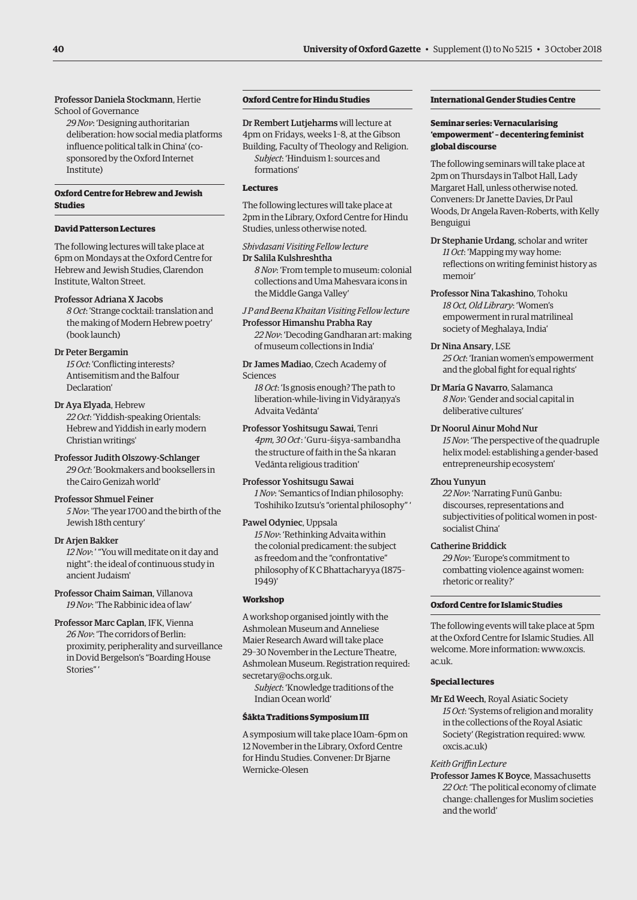### Professor Daniela Stockmann, Hertie School of Governance

*29 Nov*: 'Designing authoritarian deliberation: how social media platforms influence political talk in China' (cosponsored by the Oxford Internet Institute)

### **Oxford Centre for Hebrew and Jewish Studies**

### **David Patterson Lectures**

The following lectures will take place at 6pm on Mondays at the Oxford Centre for Hebrew and Jewish Studies, Clarendon Institute, Walton Street.

### Professor Adriana X Jacobs

*8 Oct*: 'Strange cocktail: translation and the making of Modern Hebrew poetry' (book launch)

### Dr Peter Bergamin

*15 Oct*: 'Conflicting interests? Antisemitism and the Balfour Declaration'

Dr Aya Elyada, Hebrew *22 Oct*: 'Yiddish-speaking Orientals: Hebrew and Yiddish in early modern Christian writings'

Professor Judith Olszowy-Schlanger *29 Oct*: 'Bookmakers and booksellers in the Cairo Genizah world'

### Professor Shmuel Feiner

*5 Nov*: 'The year 1700 and the birth of the Jewish 18th century'

### Dr Arjen Bakker

*12 Nov*: ' "You will meditate on it day and night": the ideal of continuous study in ancient Judaism'

Professor Chaim Saiman, Villanova *19 Nov*: 'The Rabbinic idea of law'

Professor Marc Caplan, IFK, Vienna *26 Nov*: 'The corridors of Berlin: proximity, peripherality and surveillance in Dovid Bergelson's "Boarding House Stories" '

## **Oxford Centre for Hindu Studies**

Dr Rembert Lutjeharms will lecture at 4pm on Fridays, weeks 1–8, at the Gibson Building, Faculty of Theology and Religion. *Subject*: 'Hinduism 1: sources and formations'

### **Lectures**

The following lectures will take place at 2pm in the Library, Oxford Centre for Hindu Studies, unless otherwise noted.

*Shivdasani Visiting Fellow lecture* Dr Salila Kulshreshtha

*8 Nov*: 'From temple to museum: colonial collections and Uma Mahesvara icons in the Middle Ganga Valley'

*J P and Beena Khaitan Visiting Fellow lecture* Professor Himanshu Prabha Ray

*22 Nov*: 'Decoding Gandharan art: making of museum collections in India'

Dr James Madiao, Czech Academy of Sciences

*18 Oct*: 'Is gnosis enough? The path to liberation-while-living in Vidyāraņya's Advaita Vedānta'

Professor Yoshitsugu Sawai, Tenri *4pm, 30 Oct*: 'Guru-śişya-sambandha the structure of faith in the Śa˙nkaran Vedānta religious tradition'

Professor Yoshitsugu Sawai *1 Nov*: 'Semantics of Indian philosophy: Toshihiko Izutsu's "oriental philosophy" '

### Pawel Odyniec, Uppsala

*15 Nov*: 'Rethinking Advaita within the colonial predicament: the subject as freedom and the "confrontative" philosophy of K C Bhattacharyya (1875– 1949)'

### **Workshop**

A workshop organised jointly with the Ashmolean Museum and Anneliese Maier Research Award will take place 29–30 November in the Lecture Theatre, Ashmolean Museum. Registration required: [secretary@ochs.org.uk.](mailto:secretary@ochs.org.uk)

*Subject*: 'Knowledge traditions of the Indian Ocean world'

### **Śākta Traditions Symposium III**

A symposium will take place 10am–6pm on 12 November in the Library, Oxford Centre for Hindu Studies. Convener: Dr Bjarne Wernicke-Olesen

### **International Gender Studies Centre**

### **Seminar series: Vernacularising 'empowerment' – decentering feminist global discourse**

The following seminars will take place at 2pm on Thursdays in Talbot Hall, Lady Margaret Hall, unless otherwise noted. Conveners: Dr Janette Davies, Dr Paul Woods, Dr Angela Raven-Roberts, with Kelly Benguigui

Dr Stephanie Urdang, scholar and writer *11 Oct*: 'Mapping my way home: reflections on writing feminist history as memoir'

Professor Nina Takashino, Tohoku *18 Oct, Old Library*: 'Women's empowerment in rural matrilineal society of Meghalaya, India'

### Dr Nina Ansary, LSE

*25 Oct*: 'Iranian women's empowerment and the global fight for equal rights'

Dr María G Navarro, Salamanca *8 Nov*: 'Gender and social capital in deliberative cultures'

### Dr Noorul Ainur Mohd Nur

*15 Nov*: 'The perspective of the quadruple helix model: establishing a gender-based entrepreneurship ecosystem'

### Zhou Yunyun

*22 Nov*: 'Narrating Funü Ganbu: discourses, representations and subjectivities of political women in postsocialist China'

### Catherine Briddick

*29 Nov*: 'Europe's commitment to combatting violence against women: rhetoric or reality?'

### **Oxford Centre for Islamic Studies**

The following events will take place at 5pm at the Oxford Centre for Islamic Studies. All [welcome. More information: www.oxcis.](www.oxcis.ac.uk) ac.uk.

### **Special lectures**

Mr Ed Weech, Royal Asiatic Society *15 Oct*: 'Systems of religion and morality in the collections of the Royal Asiatic Society' (Registration required: [www.](http://www.oxcis.ac.uk) [oxcis.ac.uk\)](http://www.oxcis.ac.uk) 

### *Keith Griffin Lecture*

Professor James K Boyce, Massachusetts *22 Oct*: 'The political economy of climate change: challenges for Muslim societies and the world'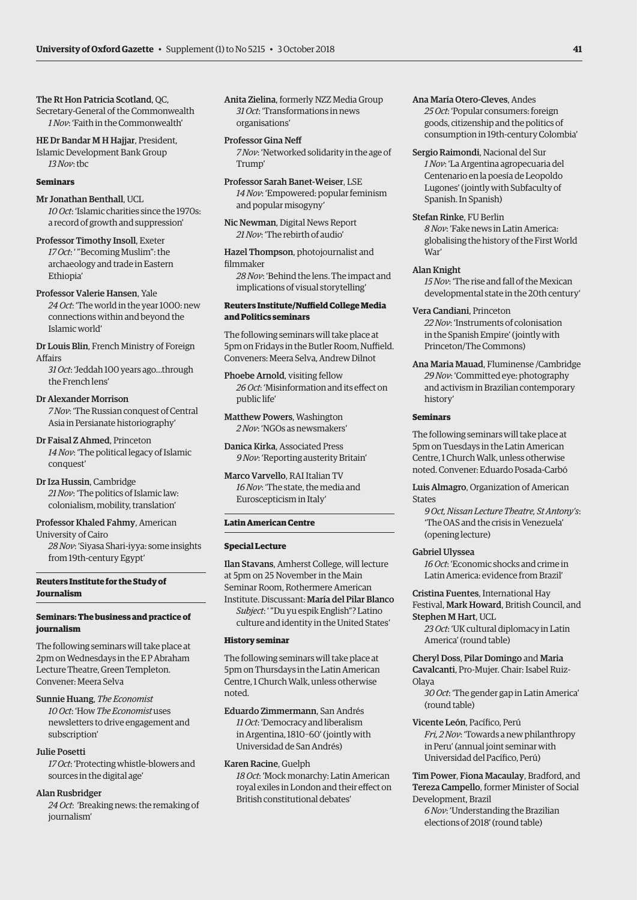The Rt Hon Patricia Scotland, QC, Secretary-General of the Commonwealth

*1 Nov*: 'Faith in the Commonwealth' HE Dr Bandar M H Hajjar, President,

Islamic Development Bank Group *13 Nov*: tbc

### **Seminars**

Mr Jonathan Benthall, UCL *10 Oct*: 'Islamic charities since the 1970s: a record of growth and suppression'

### Professor Timothy Insoll, Exeter

*17 Oct*: ' "Becoming Muslim": the archaeology and trade in Eastern Ethiopia'

### Professor Valerie Hansen, Yale

*24 Oct*: 'The world in the year 1000: new connections within and beyond the Islamic world'

Dr Louis Blin, French Ministry of Foreign Affairs

*31 Oct*: 'Jeddah 100 years ago…through the French lens'

### Dr Alexander Morrison

*7 Nov*: 'The Russian conquest of Central Asia in Persianate historiography'

Dr Faisal Z Ahmed, Princeton *14 Nov*: 'The political legacy of Islamic conquest'

Dr Iza Hussin, Cambridge *21 Nov*: 'The politics of Islamic law: colonialism, mobility, translation'

Professor Khaled Fahmy, American University of Cairo

*28 Nov*: 'Siyasa Shari-iyya: some insights from 19th-century Egypt'

### **Reuters Institute for the Study of Journalism**

### **Seminars: The business and practice of journalism**

The following seminars will take place at 2pm on Wednesdays in the E P Abraham Lecture Theatre, Green Templeton. Convener: Meera Selva

### Sunnie Huang, *The Economist*

*10 Oct*: 'How *The Economist* uses newsletters to drive engagement and subscription'

### Julie Posetti

*17 Oct*: 'Protecting whistle-blowers and sources in the digital age'

### Alan Rusbridger

*24 Oct*: 'Breaking news: the remaking of journalism'

Anita Zielina, formerly NZZ Media Group *31 Oct*: 'Transformations in news organisations'

### Professor Gina Neff

*7 Nov*: 'Networked solidarity in the age of Trump'

Professor Sarah Banet-Weiser, LSE *14 Nov*: 'Empowered: popular feminism and popular misogyny'

Nic Newman, Digital News Report *21 Nov*: 'The rebirth of audio'

Hazel Thompson, photojournalist and filmmaker

*28 Nov*: 'Behind the lens. The impact and implications of visual storytelling'

### **Reuters Institute/Nuffield College Media and Politics seminars**

The following seminars will take place at 5pm on Fridays in the Butler Room, Nuffield. Conveners: Meera Selva, Andrew Dilnot

Phoebe Arnold, visiting fellow *26 Oct*: 'Misinformation and its effect on public life'

Matthew Powers, Washington *2 Nov*: 'NGOs as newsmakers'

Danica Kirka, Associated Press *9 Nov*: 'Reporting austerity Britain'

Marco Varvello, RAI Italian TV *16 Nov*: 'The state, the media and Euroscepticism in Italy'

### **Latin American Centre**

### **Special Lecture**

Ilan Stavans, Amherst College, will lecture at 5pm on 25 November in the Main Seminar Room, Rothermere American Institute. Discussant: María del Pilar Blanco *Subject*: ' "Du yu espik English"? Latino

culture and identity in the United States'

### **History seminar**

The following seminars will take place at 5pm on Thursdays in the Latin American Centre, 1 Church Walk, unless otherwise noted.

Eduardo Zimmermann, San Andrés *11 Oct*: 'Democracy and liberalism

in Argentina, 1810–60' (jointly with Universidad de San Andrés)

### Karen Racine, Guelph

*18 Oct*: 'Mock monarchy: Latin American royal exiles in London and their effect on British constitutional debates'

- Ana María Otero-Cleves, Andes *25 Oct*: 'Popular consumers: foreign goods, citizenship and the politics of consumption in 19th-century Colombia'
- Sergio Raimondi, Nacional del Sur *1 Nov*: 'La Argentina agropecuaria del Centenario en la poesía de Leopoldo Lugones' (jointly with Subfaculty of Spanish. In Spanish)

### Stefan Rinke, FU Berlin

*8 Nov*: 'Fake news in Latin America: globalising the history of the First World War'

### Alan Knight

*15 Nov*: 'The rise and fall of the Mexican developmental state in the 20th century'

### Vera Candiani, Princeton

*22 Nov*: 'Instruments of colonisation in the Spanish Empire' (jointly with Princeton/The Commons)

Ana Maria Mauad, Fluminense /Cambridge *29 Nov*: 'Committed eye: photography and activism in Brazilian contemporary history'

### **Seminars**

The following seminars will take place at 5pm on Tuesdays in the Latin American Centre, 1 Church Walk, unless otherwise noted. Convener: Eduardo Posada-Carbó

Luis Almagro, Organization of American States

*9 Oct, Nissan Lecture Theatre, St Antony's*: 'The OAS and the crisis in Venezuela' (opening lecture)

### Gabriel Ulyssea

*16 Oct*: 'Economic shocks and crime in Latin America: evidence from Brazil'

Cristina Fuentes, International Hay Festival, Mark Howard, British Council, and Stephen M Hart, UCL *23 Oct*: 'UK cultural diplomacy in Latin

America' (round table)

Cheryl Doss, Pilar Domingo and Maria Cavalcanti, Pro-Mujer. Chair: Isabel Ruiz-

Olaya

*30 Oct*: 'The gender gap in Latin America' (round table)

Vicente León, Pacífico, Perú *Fri, 2 Nov*: 'Towards a new philanthropy in Peru' (annual joint seminar with Universidad del Pacífico, Perú)

Tim Power, Fiona Macaulay, Bradford, and Tereza Campello, former Minister of Social Development, Brazil

*6 Nov*: 'Understanding the Brazilian elections of 2018' (round table)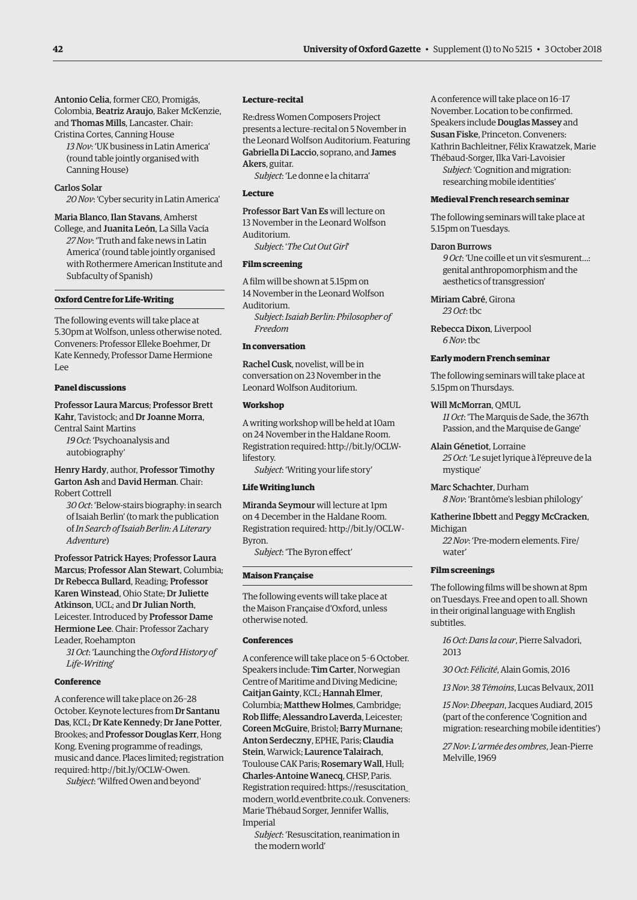Antonio Celia, former CEO, Promigás, Colombia, Beatriz Araujo, Baker McKenzie, and Thomas Mills, Lancaster. Chair: Cristina Cortes, Canning House

*13 Nov*: 'UK business in Latin America' (round table jointly organised with Canning House)

### Carlos Solar

*20 Nov*: 'Cyber security in Latin America'

Maria Blanco, Ilan Stavans, Amherst College, and Juanita León, La Silla Vacía *27 Nov*: 'Truth and fake news in Latin America' (round table jointly organised with Rothermere American Institute and Subfaculty of Spanish)

### **Oxford Centre for Life-Writing**

The following events will take place at 5.30pm at Wolfson, unless otherwise noted. Conveners: Professor Elleke Boehmer, Dr Kate Kennedy, Professor Dame Hermione Lee

### **Panel discussions**

Professor Laura Marcus; Professor Brett Kahr, Tavistock; and Dr Joanne Morra, Central Saint Martins

*19 Oct*: 'Psychoanalysis and autobiography'

Henry Hardy, author, Professor Timothy Garton Ash and David Herman. Chair: Robert Cottrell

*30 Oct*: 'Below-stairs biography: in search of Isaiah Berlin' (to mark the publication of *In Search of Isaiah Berlin: A Literary Adventure*)

Professor Patrick Hayes; Professor Laura Marcus; Professor Alan Stewart, Columbia; Dr Rebecca Bullard, Reading; Professor Karen Winstead, Ohio State; Dr Juliette Atkinson, UCL; and Dr Julian North, Leicester. Introduced by Professor Dame Hermione Lee. Chair: Professor Zachary Leader, Roehampton

*31 Oct*: 'Launching the *Oxford History of Life-Writing*'

### **Conference**

A conference will take place on 26–28 October. Keynote lectures from Dr Santanu Das, KCL; Dr Kate Kennedy; Dr Jane Potter, Brookes; and Professor Douglas Kerr, Hong Kong. Evening programme of readings, music and dance. Places limited; registration required: [http://bit.ly/OCLW-Owen.](http://bit.ly/OCLW-Owen)

*Subject*: 'Wilfred Owen and beyond'

### **Lecture–recital**

Re:dress Women Composers Project presents a lecture–recital on 5 November in the Leonard Wolfson Auditorium. Featuring Gabriella Di Laccio, soprano, and James Akers, guitar.

*Subject*: 'Le donne e la chitarra'

### **Lecture**

Professor Bart Van Es will lecture on 13 November in the Leonard Wolfson Auditorium.

*Subject*: '*The Cut Out Girl*'

### **Film screening**

A film will be shown at 5.15pm on 14 November in the Leonard Wolfson Auditorium.

*Subject*: *Isaiah Berlin: Philosopher of Freedom*

### **In conversation**

Rachel Cusk, novelist, will be in conversation on 23 November in the Leonard Wolfson Auditorium.

### **Workshop**

A writing workshop will be held at 10am on 24 November in the Haldane Room. [Registration required: http://bit.ly/OCLW](http://bit.ly/OCLW-lifestory)lifestory.

*Subject*: 'Writing your life story'

### **Life Writing lunch**

Miranda Seymour will lecture at 1pm on 4 December in the Haldane Room. [Registration required: http://bit.ly/OCLW-](http://bit.ly/OCLW-Byron)Byron.

*Subject*: 'The Byron effect'

### **Maison Française**

The following events will take place at the Maison Française d'Oxford, unless otherwise noted.

### **Conferences**

A conference will take place on 5–6 October. Speakers include: Tim Carter, Norwegian Centre of Maritime and Diving Medicine; Caitjan Gainty, KCL; Hannah Elmer, Columbia; Matthew Holmes, Cambridge; Rob Iliffe; Alessandro Laverda, Leicester; Coreen McGuire, Bristol; Barry Murnane; Anton Serdeczny, EPHE, Paris; Claudia Stein, Warwick; Laurence Talairach, Toulouse CAK Paris; Rosemary Wall, Hull; Charles-Antoine Wanecq, CHSP, Paris. Registration required: https://resuscitation\_ [modern\\_world.eventbrite.co.uk. Conveners:](https://resuscitation_modern_world.eventbrite.co.uk)  Marie Thébaud Sorger, Jennifer Wallis, Imperial

*Subject*: 'Resuscitation, reanimation in the modern world'

A conference will take place on 16–17 November. Location to be confirmed. Speakers include Douglas Massey and Susan Fiske, Princeton. Conveners: Kathrin Bachleitner, Félix Krawatzek, Marie Thébaud-Sorger, Ilka Vari-Lavoisier

*Subject*: 'Cognition and migration: researching mobile identities'

### **Medieval French research seminar**

The following seminars will take place at 5.15pm on Tuesdays.

### Daron Burrows

*9 Oct*: 'Une coille et un vit s'esmurent…: genital anthropomorphism and the aesthetics of transgression'

Miriam Cabré, Girona *23 Oct*: tbc

Rebecca Dixon, Liverpool *6 Nov*: tbc

### **Early modern French seminar**

The following seminars will take place at 5.15pm on Thursdays.

### Will McMorran, QMUL

*11 Oct*: 'The Marquis de Sade, the 367th Passion, and the Marquise de Gange'

# Alain Génetiot, Lorraine

*25 Oct*: 'Le sujet lyrique à l'épreuve de la mystique'

Marc Schachter, Durham *8 Nov*: 'Brantôme's lesbian philology'

Katherine Ibbett and Peggy McCracken, Michigan

*22 Nov*: 'Pre-modern elements. Fire/ water'

### **Film screenings**

The following films will be shown at 8pm on Tuesdays. Free and open to all. Shown in their original language with English subtitles.

*16 Oct*: *Dans la cour*, Pierre Salvadori, 2013

*30 Oct*: *Félicité*, Alain Gomis, 2016

*13 Nov*: *38 Témoins*, Lucas Belvaux, 2011

*15 Nov*: *Dheepan*, Jacques Audiard, 2015 (part of the conference 'Cognition and migration: researching mobile identities')

*27 Nov*: *L'armée des ombres*, Jean-Pierre Melville, 1969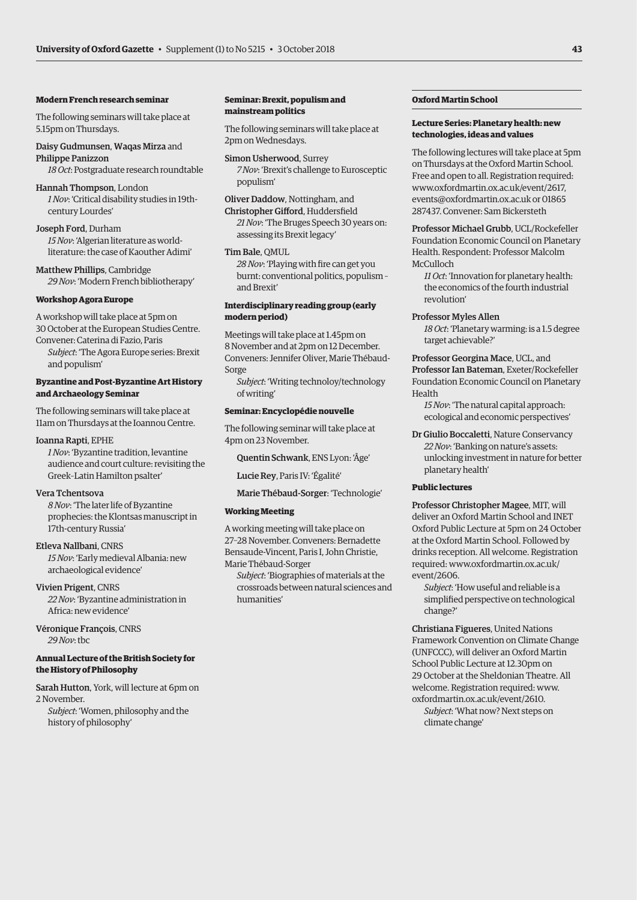### **Modern French research seminar**

The following seminars will take place at 5.15pm on Thursdays.

Daisy Gudmunsen, Waqas Mirza and Philippe Panizzon

*18 Oct*: Postgraduate research roundtable

Hannah Thompson, London *1 Nov*: 'Critical disability studies in 19thcentury Lourdes'

Joseph Ford, Durham *15 Nov*: 'Algerian literature as worldliterature: the case of Kaouther Adimi'

Matthew Phillips, Cambridge *29 Nov*: 'Modern French bibliotherapy'

### **Workshop Agora Europe**

A workshop will take place at 5pm on 30 October at the European Studies Centre. Convener: Caterina di Fazio, Paris

*Subject*: 'The Agora Europe series: Brexit and populism'

### **Byzantine and Post-Byzantine Art History and Archaeology Seminar**

The following seminars will take place at 11am on Thursdays at the Ioannou Centre.

### Ioanna Rapti, EPHE

*1 Nov*: 'Byzantine tradition, levantine audience and court culture: revisiting the Greek–Latin Hamilton psalter'

### Vera Tchentsova

*8 Nov*: 'The later life of Byzantine prophecies: the Klontsas manuscript in 17th-century Russia'

### Etleva Nallbani, CNRS

*15 Nov*: 'Early medieval Albania: new archaeological evidence'

Vivien Prigent, CNRS

*22 Nov*: 'Byzantine administration in Africa: new evidence'

Véronique François, CNRS *29 Nov*: tbc

### **Annual Lecture of the British Society for the History of Philosophy**

Sarah Hutton, York, will lecture at 6pm on 2 November.

*Subject*: 'Women, philosophy and the history of philosophy'

### **Seminar: Brexit, populism and mainstream politics**

The following seminars will take place at 2pm on Wednesdays.

Simon Usherwood, Surrey *7 Nov*: 'Brexit's challenge to Eurosceptic populism'

Oliver Daddow, Nottingham, and Christopher Gifford, Huddersfield *21 Nov*: 'The Bruges Speech 30 years on: assessing its Brexit legacy'

### Tim Bale, QMUL

*28 Nov*: 'Playing with fire can get you burnt: conventional politics, populism – and Brexit'

### **Interdisciplinary reading group (early modern period)**

Meetings will take place at 1.45pm on 8 November and at 2pm on 12 December. Conveners: Jennifer Oliver, Marie Thébaud-Sorge

*Subject*: 'Writing technoloy/technology of writing'

### **Seminar: Encyclopédie nouvelle**

The following seminar will take place at 4pm on 23 November.

Quentin Schwank, ENS Lyon: 'Âge'

Lucie Rey, Paris IV: 'Égalité'

Marie Thébaud-Sorger: 'Technologie'

### **Working Meeting**

A working meeting will take place on 27–28 November. Conveners: Bernadette Bensaude-Vincent, Paris I, John Christie, Marie Thébaud-Sorger

*Subject*: 'Biographies of materials at the crossroads between natural sciences and humanities'

### **Oxford Martin School**

### **Lecture Series: Planetary health: new technologies, ideas and values**

The following lectures will take place at 5pm on Thursdays at the Oxford Martin School. Free and open to all. Registration required: [www.oxfordmartin.ox.ac.uk/event/2617,](http://www.oxfordmartin.ox.ac.uk/event/2617)  [events@oxfordmartin.ox.ac.uk or](mailto:events@oxfordmartin.ox.ac.uk) 01865 287437. Convener: Sam Bickersteth

Professor Michael Grubb, UCL/Rockefeller Foundation Economic Council on Planetary Health. Respondent: Professor Malcolm McCulloch

*11 Oct*: 'Innovation for planetary health: the economics of the fourth industrial revolution'

Professor Myles Allen

*18 Oct*: 'Planetary warming: is a 1.5 degree target achievable?'

# Professor Georgina Mace, UCL, and

Professor Ian Bateman, Exeter/Rockefeller Foundation Economic Council on Planetary Health

*15 Nov*: 'The natural capital approach: ecological and economic perspectives'

Dr Giulio Boccaletti, Nature Conservancy *22 Nov*: 'Banking on nature's assets: unlocking investment in nature for better planetary health'

### **Public lectures**

Professor Christopher Magee, MIT, will deliver an Oxford Martin School and INET Oxford Public Lecture at 5pm on 24 October at the Oxford Martin School. Followed by drinks reception. All welcome. Registration [required: www.oxfordmartin.ox.ac.uk/](www.oxfordmartin.ox.ac.uk/event/2606) event/2606.

*Subject*: 'How useful and reliable is a simplified perspective on technological change?'

Christiana Figueres, United Nations Framework Convention on Climate Change (UNFCCC), will deliver an Oxford Martin School Public Lecture at 12.30pm on 29 October at the Sheldonian Theatre. All welcome. Registration required: [www.](http://www.oxfordmartin.ox.ac.uk/event/2610) [oxfordmartin.ox.ac.uk/event/2610.](http://www.oxfordmartin.ox.ac.uk/event/2610) 

*Subject*: 'What now? Next steps on climate change'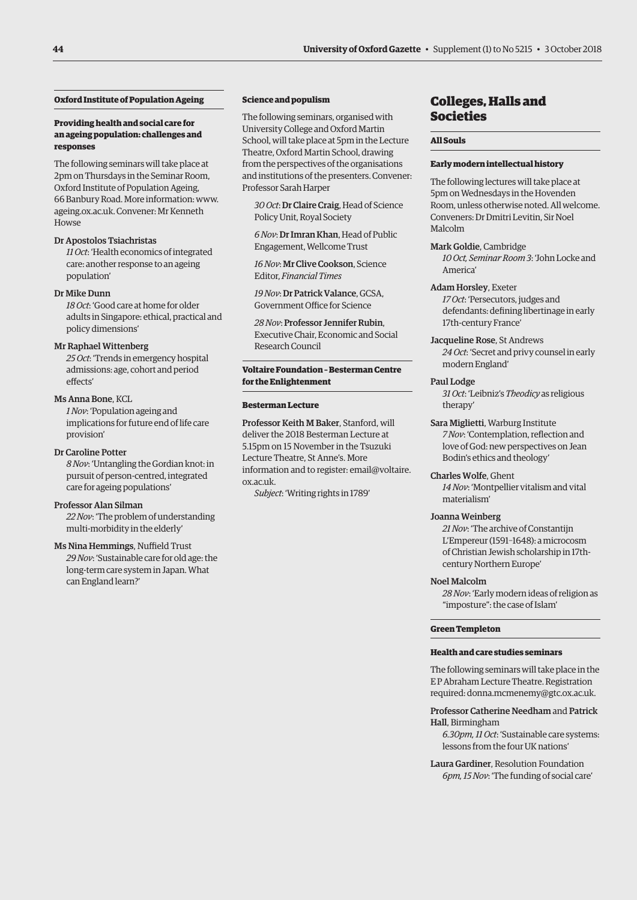### **Oxford Institute of Population Ageing**

### **Providing health and social care for an ageing population: challenges and responses**

The following seminars will take place at 2pm on Thursdays in the Seminar Room, Oxford Institute of Population Ageing, 66 Banbury Road. More information: [www.](http://www.ageing.ox.ac.uk) [ageing.ox.ac.uk. Co](http://www.ageing.ox.ac.uk)nvener: Mr Kenneth Howse

### Dr Apostolos Tsiachristas

*11 Oct*: 'Health economics of integrated care: another response to an ageing population'

### Dr Mike Dunn

*18 Oct*: 'Good care at home for older adults in Singapore: ethical, practical and policy dimensions'

### Mr Raphael Wittenberg

*25 Oct*: 'Trends in emergency hospital admissions: age, cohort and period effects'

### Ms Anna Bone, KCL

*1 Nov*: 'Population ageing and implications for future end of life care provision'

### Dr Caroline Potter

*8 Nov*: 'Untangling the Gordian knot: in pursuit of person-centred, integrated care for ageing populations'

### Professor Alan Silman

*22 Nov*: 'The problem of understanding multi-morbidity in the elderly'

### Ms Nina Hemmings, Nuffield Trust

*29 Nov*: 'Sustainable care for old age: the long-term care system in Japan. What can England learn?'

### **Science and populism**

The following seminars, organised with University College and Oxford Martin School, will take place at 5pm in the Lecture Theatre, Oxford Martin School, drawing from the perspectives of the organisations and institutions of the presenters. Convener: Professor Sarah Harper

*30 Oct*: Dr Claire Craig, Head of Science Policy Unit, Royal Society

*6 Nov*: Dr Imran Khan, Head of Public Engagement, Wellcome Trust

*16 Nov*: Mr Clive Cookson, Science Editor, *Financial Times*

*19 Nov*: Dr Patrick Valance, GCSA, Government Office for Science

*28 Nov*: Professor Jennifer Rubin, Executive Chair, Economic and Social Research Council

### **Voltaire Foundation – Besterman Centre for the Enlightenment**

### **Besterman Lecture**

Professor Keith M Baker, Stanford, will deliver the 2018 Besterman Lecture at 5.15pm on 15 November in the Tsuzuki Lecture Theatre, St Anne's. More information and to register: email@voltaire. ox.ac.uk.

*Subject*: 'Writing rights in 1789'

# Colleges, Halls and Societies

### **All Souls**

### **Early modern intellectual history**

The following lectures will take place at 5pm on Wednesdays in the Hovenden Room, unless otherwise noted. All welcome. Conveners: Dr Dmitri Levitin, Sir Noel Malcolm

### Mark Goldie, Cambridge

*10 Oct, Seminar Room 3*: 'John Locke and America'

### Adam Horsley, Exeter

*17 Oct*: 'Persecutors, judges and defendants: defining libertinage in early 17th-century France'

Jacqueline Rose, St Andrews *24 Oct*: 'Secret and privy counsel in early modern England'

### Paul Lodge

*31 Oct*: 'Leibniz's *Theodicy* as religious therapy'

Sara Miglietti, Warburg Institute *7 Nov*: 'Contemplation, reflection and love of God: new perspectives on Jean Bodin's ethics and theology'

### Charles Wolfe, Ghent

*14 Nov*: 'Montpellier vitalism and vital materialism'

### Joanna Weinberg

*21 Nov*: 'The archive of Constantijn L'Empereur (1591–1648): a microcosm of Christian Jewish scholarship in 17thcentury Northern Europe'

### Noel Malcolm

*28 Nov*: 'Early modern ideas of religion as "imposture": the case of Islam'

### **Green Templeton**

### **Health and care studies seminars**

The following seminars will take place in the E P Abraham Lecture Theatre. Registration required: [donna.mcmenemy@gtc.ox.ac.uk.](mailto:donna.mcmenemy@gtc.ox.ac.uk)

### Professor Catherine Needham and Patrick Hall, Birmingham

*6.30pm, 11 Oct*: 'Sustainable care systems: lessons from the four UK nations'

Laura Gardiner, Resolution Foundation *6pm, 15 Nov*: 'The funding of social care'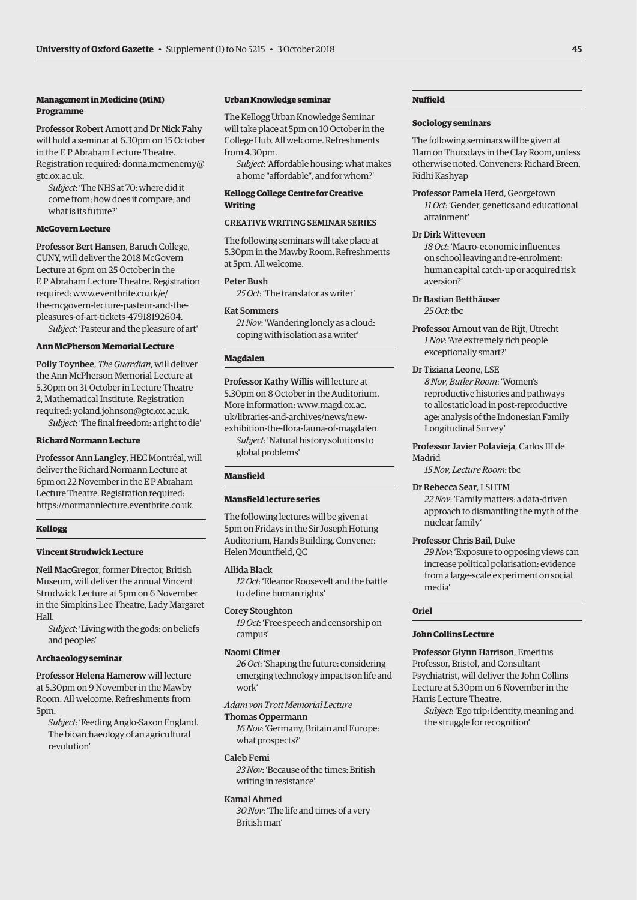### **Management in Medicine (MiM) Programme**

Professor Robert Arnott and Dr Nick Fahy will hold a seminar at 6.30pm on 15 October in the E P Abraham Lecture Theatre. [Registration required: donna.mcmenemy@](mailto:donna.mcmenemy@gtc.ox.ac.uk) gtc.ox.ac.uk.

*Subject*: 'The NHS at 70: where did it come from; how does it compare; and what is its future?'

### **McGovern Lecture**

Professor Bert Hansen, Baruch College, CUNY, will deliver the 2018 McGovern Lecture at 6pm on 25 October in the E P Abraham Lecture Theatre. Registration required: www.eventbrite.co.uk/e/ [the-mcgovern-lecture-pasteur-and-the](www.eventbrite.co.uk/e/the-mcgovern-lecture-pasteur-and-the-pleasures-of-art-tickets-47918192604)pleasures-of-art-tickets-47918192604.

*Subject*: 'Pasteur and the pleasure of art'

### **Ann McPherson Memorial Lecture**

Polly Toynbee, *The Guardian*, will deliver the Ann McPherson Memorial Lecture at 5.30pm on 31 October in Lecture Theatre 2, Mathematical Institute. Registration required: [yoland.johnson@gtc.ox.ac.uk.](mailto:yoland.johnson@gtc.ox.ac.uk)

*Subject*: 'The final freedom: a right to die'

### **Richard Normann Lecture**

Professor Ann Langley, HEC Montréal, will deliver the Richard Normann Lecture at 6pm on 22 November in the E P Abraham Lecture Theatre. Registration required: [https://normannlecture.eventbrite.co.uk.](https://normannlecture.eventbrite.co.uk)

### **Kellogg**

### **Vincent Strudwick Lecture**

Neil MacGregor, former Director, British Museum, will deliver the annual Vincent Strudwick Lecture at 5pm on 6 November in the Simpkins Lee Theatre, Lady Margaret Hall.

*Subject*: 'Living with the gods: on beliefs and peoples'

### **Archaeology seminar**

Professor Helena Hamerow will lecture at 5.30pm on 9 November in the Mawby Room. All welcome. Refreshments from 5pm.

*Subject*: 'Feeding Anglo-Saxon England. The bioarchaeology of an agricultural revolution'

### **Urban Knowledge seminar**

The Kellogg Urban Knowledge Seminar will take place at 5pm on 10 October in the College Hub. All welcome. Refreshments from 4.30pm.

*Subject*: 'Affordable housing: what makes a home "affordable", and for whom?'

### **Kellogg College Centre for Creative Writing**

### CREATIVE WRITING SEMINAR SERIES

The following seminars will take place at 5.30pm in the Mawby Room. Refreshments at 5pm. All welcome.

### Peter Bush

*25 Oct*: 'The translator as writer'

### Kat Sommers

*21 Nov*: 'Wandering lonely as a cloud: coping with isolation as a writer'

### **Magdalen**

Professor Kathy Willis will lecture at 5.30pm on 8 October in the Auditorium. More information: www.magd.ox.ac. uk/libraries-and-archives/news/new[exhibition-the-flora-fauna-of-magdalen.](www.magd.ox.ac.uk/libraries-and-archives/news/new-exhibition-the-flora-fauna-of-magdalen)

*Subject*: 'Natural history solutions to global problems'

### **Mansfield**

### **Mansfield lecture series**

The following lectures will be given at 5pm on Fridays in the Sir Joseph Hotung Auditorium, Hands Building. Convener: Helen Mountfield, QC

### Allida Black

*12 Oct*: 'Eleanor Roosevelt and the battle to define human rights'

### Corey Stoughton

*19 Oct*: 'Free speech and censorship on campus'

### Naomi Climer

*26 Oct*: 'Shaping the future: considering emerging technology impacts on life and work'

*Adam von Trott Memorial Lecture*

### Thomas Oppermann

*16 Nov*: 'Germany, Britain and Europe: what prospects?'

### Caleb Femi

*23 Nov*: 'Because of the times: British writing in resistance'

### Kamal Ahmed

*30 Nov*: 'The life and times of a very British man'

### **Nuffield**

### **Sociology seminars**

The following seminars will be given at 11am on Thursdays in the Clay Room, unless otherwise noted. Conveners: Richard Breen, Ridhi Kashyap

Professor Pamela Herd, Georgetown *11 Oct*: 'Gender, genetics and educational attainment'

### Dr Dirk Witteveen

*18 Oct*: 'Macro-economic influences on school leaving and re-enrolment: human capital catch-up or acquired risk aversion?'

- Dr Bastian Betthäuser *25 Oct*: tbc
- 
- Professor Arnout van de Rijt, Utrecht *1 Nov*: 'Are extremely rich people exceptionally smart?'

### Dr Tiziana Leone, LSE

*8 Nov, Butler Room*: 'Women's reproductive histories and pathways to allostatic load in post-reproductive age: analysis of the Indonesian Family Longitudinal Survey'

Professor Javier Polavieja, Carlos III de Madrid

*15 Nov, Lecture Room*: tbc

### Dr Rebecca Sear, LSHTM

*22 Nov*: 'Family matters: a data-driven approach to dismantling the myth of the nuclear family'

### Professor Chris Bail, Duke

*29 Nov*: 'Exposure to opposing views can increase political polarisation: evidence from a large-scale experiment on social media'

### **Oriel**

### **John Collins Lecture**

Professor Glynn Harrison, Emeritus Professor, Bristol, and Consultant Psychiatrist, will deliver the John Collins Lecture at 5.30pm on 6 November in the Harris Lecture Theatre.

*Subject*: 'Ego trip: identity, meaning and the struggle for recognition'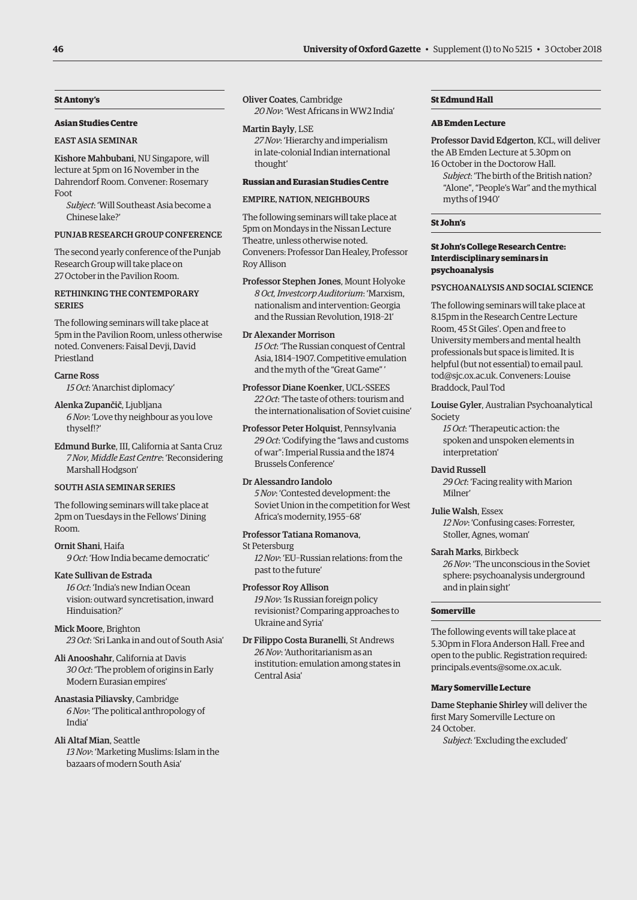### **St Antony's**

### **Asian Studies Centre**

### EAST ASIA SEMINAR

Kishore Mahbubani, NU Singapore, will lecture at 5pm on 16 November in the Dahrendorf Room. Convener: Rosemary Foot

*Subject*: 'Will Southeast Asia become a Chinese lake?'

### PUNJAB RESEARCH GROUP CONFERENCE

The second yearly conference of the Punjab Research Group will take place on 27 October in the Pavilion Room.

### RETHINKING THE CONTEMPORARY **SERIES**

The following seminars will take place at 5pm in the Pavilion Room, unless otherwise noted. Conveners: Faisal Devji, David Priestland

### Carne Ross

*15 Oct*: 'Anarchist diplomacy'

Alenka Zupančič, Ljubljana *6 Nov*: 'Love thy neighbour as you love thyself!?'

Edmund Burke, III, California at Santa Cruz *7 Nov, Middle East Centre*: 'Reconsidering Marshall Hodgson'

### SOUTH ASIA SEMINAR SERIES

The following seminars will take place at 2pm on Tuesdays in the Fellows' Dining Room.

Ornit Shani, Haifa *9 Oct*: 'How India became democratic'

Kate Sullivan de Estrada *16 Oct*: 'India's new Indian Ocean vision: outward syncretisation, inward Hinduisation?'

Mick Moore, Brighton *23 Oct*: 'Sri Lanka in and out of South Asia'

Ali Anooshahr, California at Davis *30 Oct*: 'The problem of origins in Early Modern Eurasian empires'

Anastasia Piliavsky, Cambridge *6 Nov*: 'The political anthropology of India'

Ali Altaf Mian, Seattle *13 Nov*: 'Marketing Muslims: Islam in the bazaars of modern South Asia'

Oliver Coates, Cambridge *20 Nov*: 'West Africans in WW2 India'

### Martin Bayly, LSE

*27 Nov*: 'Hierarchy and imperialism in late-colonial Indian international thought'

### **Russian and Eurasian Studies Centre**

### EMPIRE NATION NEIGHBOURS

The following seminars will take place at 5pm on Mondays in the Nissan Lecture Theatre, unless otherwise noted. Conveners: Professor Dan Healey, Professor Roy Allison

Professor Stephen Jones, Mount Holyoke *8 Oct, Investcorp Auditorium*: 'Marxism, nationalism and intervention: Georgia and the Russian Revolution, 1918–21'

Dr Alexander Morrison *15 Oct*: 'The Russian conquest of Central Asia, 1814–1907. Competitive emulation and the myth of the "Great Game" '

Professor Diane Koenker, UCL-SSEES *22 Oct*: 'The taste of others: tourism and the internationalisation of Soviet cuisine'

Professor Peter Holquist, Pennsylvania *29 Oct*: 'Codifying the "laws and customs of war": Imperial Russia and the 1874 Brussels Conference'

### Dr Alessandro Iandolo

*5 Nov*: 'Contested development: the Soviet Union in the competition for West Africa's modernity, 1955–68'

### Professor Tatiana Romanova,

St Petersburg

*12 Nov*: 'EU–Russian relations: from the past to the future'

### Professor Roy Allison

*19 Nov*: 'Is Russian foreign policy revisionist? Comparing approaches to Ukraine and Syria'

Dr Filippo Costa Buranelli, St Andrews *26 Nov*: 'Authoritarianism as an institution: emulation among states in Central Asia'

### **St Edmund Hall**

### **AB Emden Lecture**

Professor David Edgerton, KCL, will deliver the AB Emden Lecture at 5.30pm on 16 October in the Doctorow Hall.

*Subject*: 'The birth of the British nation? "Alone", "People's War" and the mythical myths of 1940'

### **St John's**

### **St John's College Research Centre: Interdisciplinary seminars in psychoanalysis**

### PSYCHOANALYSIS AND SOCIAL SCIENCE

The following seminars will take place at 8.15pm in the Research Centre Lecture Room, 45 St Giles'. Open and free to University members and mental health professionals but space is limited. It is [helpful \(but not essential\) to email paul.](mailto:paul.tod@sjc.ox.ac.uk) tod@sjc.ox.ac.uk. Conveners: Louise Braddock, Paul Tod

Louise Gyler, Australian Psychoanalytical Society

*15 Oct*: 'Therapeutic action: the spoken and unspoken elements in interpretation'

### David Russell

*29 Oct*: 'Facing reality with Marion Milner'

Julie Walsh, Essex

*12 Nov*: 'Confusing cases: Forrester, Stoller, Agnes, woman'

### Sarah Marks, Birkbeck

*26 Nov*: 'The unconscious in the Soviet sphere: psychoanalysis underground and in plain sight'

### **Somerville**

The following events will take place at 5.30pm in Flora Anderson Hall. Free and open to the public. Registration required: [principals.events@some.ox.ac.uk.](mailto:principals.events@some.ox.ac.uk)

### **Mary Somerville Lecture**

Dame Stephanie Shirley will deliver the first Mary Somerville Lecture on 24 October.

*Subject*: 'Excluding the excluded'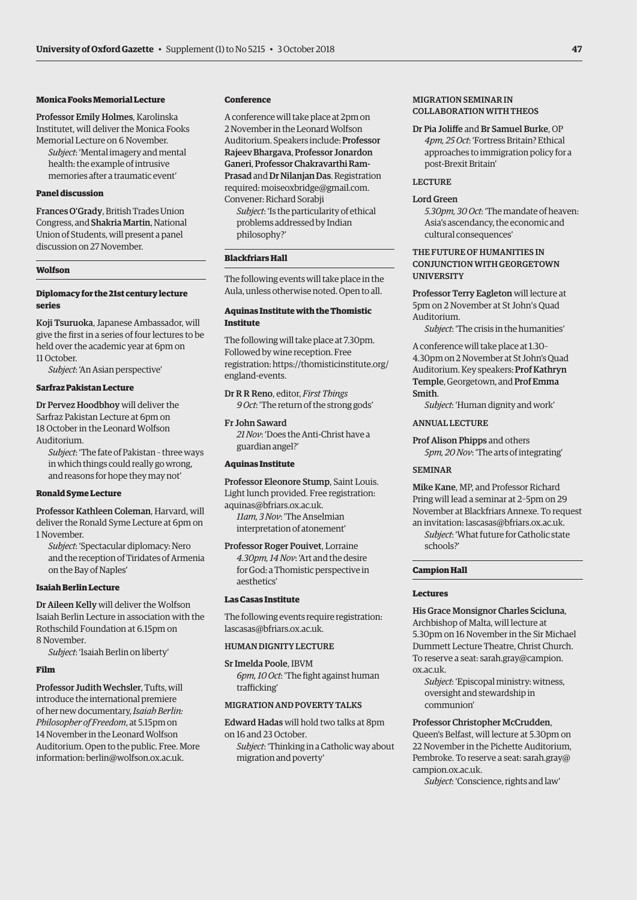### **Monica Fooks Memorial Lecture**

Professor Emily Holmes, Karolinska Institutet, will deliver the Monica Fooks Memorial Lecture on 6 November.

*Subject*: 'Mental imagery and mental health: the example of intrusive memories after a traumatic event'

### **Panel discussion**

Frances O'Grady, British Trades Union Congress, and Shakria Martin, National Union of Students, will present a panel discussion on 27 November.

### **Wolfson**

### **Diplomacy for the 21st century lecture series**

Koji Tsuruoka, Japanese Ambassador, will give the first in a series of four lectures to be held over the academic year at 6pm on 11 October.

*Subject*: 'An Asian perspective'

### **Sarfraz Pakistan Lecture**

Dr Pervez Hoodbhoy will deliver the Sarfraz Pakistan Lecture at 6pm on 18 October in the Leonard Wolfson Auditorium.

*Subject*: 'The fate of Pakistan – three ways in which things could really go wrong, and reasons for hope they may not'

### **Ronald Syme Lecture**

Professor Kathleen Coleman, Harvard, will deliver the Ronald Syme Lecture at 6pm on 1 November.

*Subject*: 'Spectacular diplomacy: Nero and the reception of Tiridates of Armenia on the Bay of Naples'

### **Isaiah Berlin Lecture**

Dr Aileen Kelly will deliver the Wolfson Isaiah Berlin Lecture in association with the Rothschild Foundation at 6.15pm on 8 November.

*Subject*: 'Isaiah Berlin on liberty'

### **Film**

Professor Judith Wechsler, Tufts, will introduce the international premiere of her new documentary, *Isaiah Berlin: Philosopher of Freedom*, at 5.15pm on 14 November in the Leonard Wolfson Auditorium. Open to the public. Free. More information: [berlin@wolfson.ox.ac.uk.](mailto:berlin@wolfson.ox.ac.uk)

### **Conference**

A conference will take place at 2pm on 2 November in the Leonard Wolfson Auditorium. Speakers include: Professor Rajeev Bhargava, Professor Jonardon Ganeri, Professor Chakravarthi Ram-Prasad and Dr Nilanjan Das. Registration required: [moiseoxbridge@gmail.com.](mailto:moiseoxbridge@gmail.com)  Convener: Richard Sorabji

*Subject*: 'Is the particularity of ethical problems addressed by Indian philosophy?'

### **Blackfriars Hall**

The following events will take place in the Aula, unless otherwise noted. Open to all.

### **Aquinas Institute with the Thomistic Institute**

The following will take place at 7.30pm. Followed by wine reception. Free [registration: https://thomisticinstitute.org/](https:thomisticinstitute.org/england-events) england-events.

Dr R R Reno, editor, *First Things 9 Oct*: 'The return of the strong gods'

### Fr John Saward

*21 Nov*: 'Does the Anti-Christ have a guardian angel?'

### **Aquinas Institute**

Professor Eleonore Stump, Saint Louis. Light lunch provided. Free registration: [aquinas@bfriars.ox.ac.uk.](mailto:aquinas@bfriars.ox.ac.uk)

*11am, 3 Nov*: 'The Anselmian interpretation of atonement'

Professor Roger Pouivet, Lorraine *4.30pm, 14 Nov*: 'Art and the desire for God: a Thomistic perspective in aesthetics'

### **Las Casas Institute**

The following events require registration: [lascasas@bfriars.ox.ac.uk.](mailto:lascasas@bfriars.ox.ac.uk)

### HUMAN DIGNITY LECTURE

Sr Imelda Poole, IBVM *6pm, 10 Oct*: 'The fight against human trafficking'

### MIGRATION AND POVERTY TALKS

Edward Hadas will hold two talks at 8pm on 16 and 23 October.

*Subject*: 'Thinking in a Catholic way about migration and poverty'

### MIGRATION SEMINAR IN COLLABORATION WITH THEOS

Dr Pia Joliffe and Br Samuel Burke, OP *4pm, 25 Oct*: 'Fortress Britain? Ethical approaches to immigration policy for a post-Brexit Britain'

### **LECTURE**

### Lord Green

*5.30pm, 30 Oct*: 'The mandate of heaven: Asia's ascendancy, the economic and cultural consequences'

### THE FUTURE OF HUMANITIES IN CONJUNCTION WITH GEORGETOWN UNIVERSITY

Professor Terry Eagleton will lecture at 5pm on 2 November at St John's Quad Auditorium.

*Subject*: 'The crisis in the humanities'

A conference will take place at 1.30– 4.30pm on 2 November at St John's Quad Auditorium. Key speakers: Prof Kathryn Temple, Georgetown, and Prof Emma Smith.

*Subject*: 'Human dignity and work'

### ANNUAL LECTURE

Prof Alison Phipps and others

*5pm, 20 Nov*: 'The arts of integrating'

### **SEMINAD**

Mike Kane, MP, and Professor Richard Pring will lead a seminar at 2–5pm on 29 November at Blackfriars Annexe. To request an invitation: [lascasas@bfriars.ox.ac.uk.](mailto:lascasas@bfriars.ox.ac.uk)

*Subject*: 'What future for Catholic state schools?'

### **Campion Hall**

### **Lectures**

His Grace Monsignor Charles Scicluna, Archbishop of Malta, will lecture at 5.30pm on 16 November in the Sir Michael Dummett Lecture Theatre, Christ Church. To reserve a seat: sarah.gray@campion. ox.ac.uk.

*Subject*: 'Episcopal ministry: witness, oversight and stewardship in communion'

### Professor Christopher McCrudden,

Queen's Belfast, will lecture at 5.30pm on 22 November in the Pichette Auditorium, [Pembroke. To reserve a seat: sarah.gray@](mailto:sarah.gray@campion.ox.ac.uk) campion.ox.ac.uk.

*Subject*: 'Conscience, rights and law'